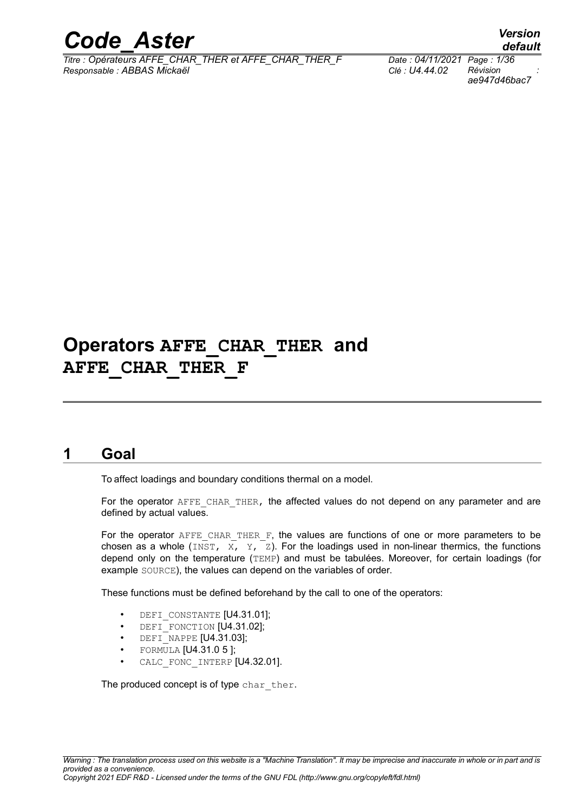

*Titre : Opérateurs AFFE\_CHAR\_THER et AFFE\_CHAR\_THER\_F Date : 04/11/2021 Page : 1/36 Responsable : ABBAS Mickaël Clé : U4.44.02 Révision :*

*ae947d46bac7*

*default*

## **Operators AFFE\_CHAR\_THER and AFFE\_CHAR\_THER\_F**

## **1 Goal**

<span id="page-0-0"></span>To affect loadings and boundary conditions thermal on a model.

For the operator AFFE\_CHAR\_THER, the affected values do not depend on any parameter and are defined by actual values.

For the operator  $A$ FFE\_CHAR\_THER\_F, the values are functions of one or more parameters to be chosen as a whole (INST,  $\overline{X}$ ,  $\overline{Y}$ ,  $\overline{Z}$ ). For the loadings used in non-linear thermics, the functions depend only on the temperature (TEMP) and must be tabulées. Moreover, for certain loadings (for example SOURCE), the values can depend on the variables of order.

These functions must be defined beforehand by the call to one of the operators:

- DEFI CONSTANTE [U4.31.01];
- DEFI\_FONCTION [U4.31.02];
- DEFI\_NAPPE [U4.31.03];
- FORMULA [U4.31.0 5 ];
- CALC FONC INTERP [U4.32.01].

The produced concept is of type char ther.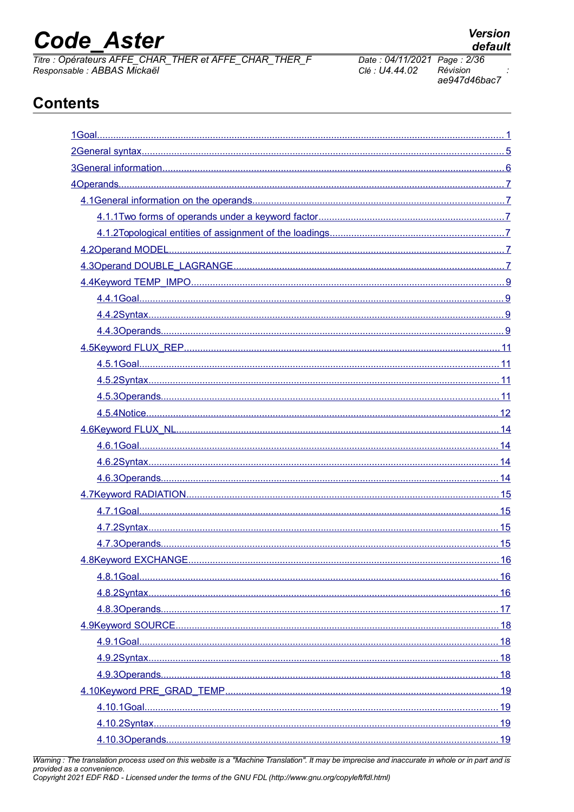# **Code Aster**

Titre : Opérateurs AFFE\_CHAR\_THER et AFFE\_CHAR\_THER\_F<br>Responsable : ABBAS Mickaël

**Version** 

default

## **Contents**

| 16 |
|----|
|    |
|    |
|    |
|    |
|    |
|    |
|    |
|    |
|    |
|    |
|    |

Warning : The translation process used on this website is a "Machine Translation". It may be imprecise and inaccurate in whole or in part and is provided as a convenience.<br>Copyright 2021 EDF R&D - Licensed under the terms of the GNU FDL (http://www.gnu.org/copyleft/fdl.html)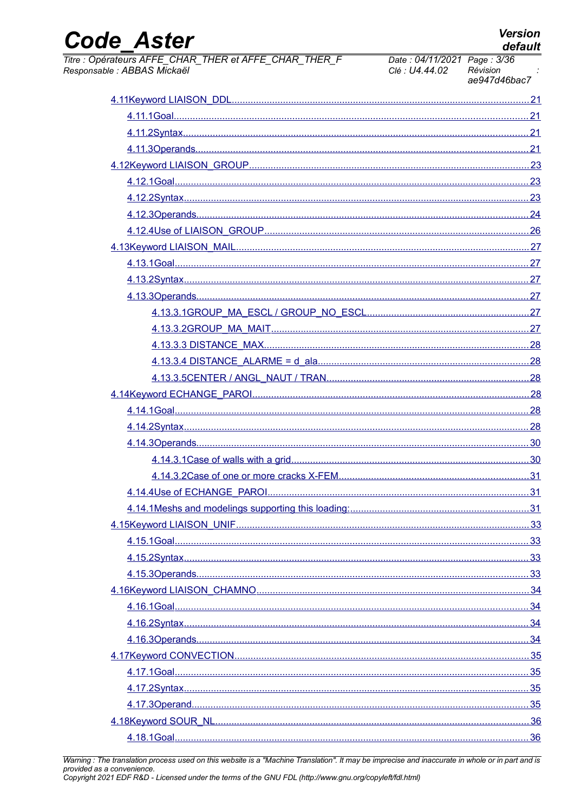| <b>Code Aster</b><br>default<br>Titre : Opérateurs AFFE_CHAR_THER et AFFE_CHAR_THER_F<br>Date: 04/11/2021 Page: 3/36<br>Responsable : ABBAS Mickaël<br>Révision<br>Clé : U4.44.02<br>ae947d46bac7 | <b>Version</b> |
|---------------------------------------------------------------------------------------------------------------------------------------------------------------------------------------------------|----------------|
|                                                                                                                                                                                                   |                |
|                                                                                                                                                                                                   |                |
|                                                                                                                                                                                                   |                |
|                                                                                                                                                                                                   |                |
|                                                                                                                                                                                                   |                |
|                                                                                                                                                                                                   |                |
|                                                                                                                                                                                                   |                |
|                                                                                                                                                                                                   |                |
|                                                                                                                                                                                                   |                |
|                                                                                                                                                                                                   |                |
|                                                                                                                                                                                                   |                |
|                                                                                                                                                                                                   |                |
|                                                                                                                                                                                                   |                |
|                                                                                                                                                                                                   |                |
|                                                                                                                                                                                                   |                |
|                                                                                                                                                                                                   |                |
|                                                                                                                                                                                                   |                |
|                                                                                                                                                                                                   |                |
|                                                                                                                                                                                                   |                |
|                                                                                                                                                                                                   |                |
|                                                                                                                                                                                                   |                |
|                                                                                                                                                                                                   |                |
|                                                                                                                                                                                                   |                |
| 30                                                                                                                                                                                                |                |
|                                                                                                                                                                                                   |                |
|                                                                                                                                                                                                   |                |
|                                                                                                                                                                                                   |                |
|                                                                                                                                                                                                   |                |
|                                                                                                                                                                                                   |                |
|                                                                                                                                                                                                   |                |
|                                                                                                                                                                                                   |                |
|                                                                                                                                                                                                   |                |
|                                                                                                                                                                                                   |                |
|                                                                                                                                                                                                   |                |
|                                                                                                                                                                                                   |                |
|                                                                                                                                                                                                   |                |
|                                                                                                                                                                                                   |                |
|                                                                                                                                                                                                   |                |
|                                                                                                                                                                                                   |                |
|                                                                                                                                                                                                   |                |
|                                                                                                                                                                                                   |                |

Warning : The translation process used on this website is a "Machine Translation". It may be imprecise and inaccurate in whole or in part and is<br>provided as a convenience.<br>Copyright 2021 EDF R&D - Licensed under the terms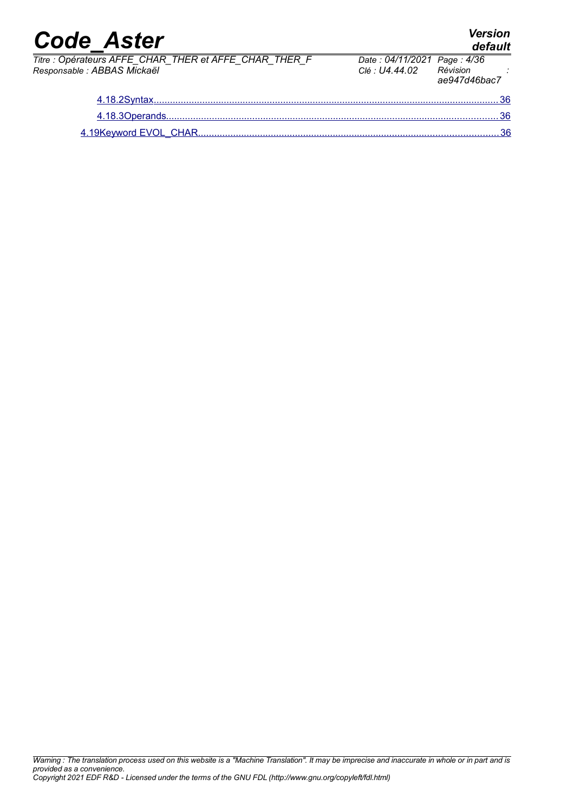|                             | Titre : Opérateurs AFFE CHAR THER et AFFE CHAR THER F | Date: 04/11/2021 Page: 4/36 |             |
|-----------------------------|-------------------------------------------------------|-----------------------------|-------------|
| Responsable : ABBAS Mickaël |                                                       | Clé : U4.44.02              | Révision    |
|                             |                                                       |                             | $0.017d46h$ |

| THER F | Date: 04/11/2021 Page: 4/36<br>Clé : U4.44.02 | Révision<br>ae947d46bac7 |
|--------|-----------------------------------------------|--------------------------|
|        |                                               |                          |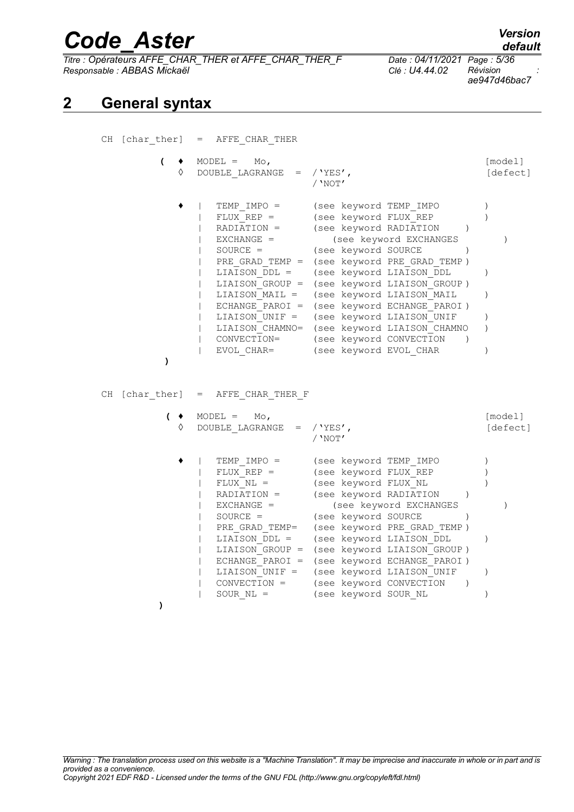*Titre : Opérateurs AFFE\_CHAR\_THER et AFFE\_CHAR\_THER\_F Date : 04/11/2021 Page : 5/36 Responsable : ABBAS Mickaël Clé : U4.44.02 Révision :*

*ae947d46bac7*

## **2 General syntax**

<span id="page-4-0"></span>

|                          | CH [char ther] = AFFE CHAR THER                                                                                                                                                                                                                                                                                                                                                                                                                                                                                                                                                                                                                                                         |                                                                                 |
|--------------------------|-----------------------------------------------------------------------------------------------------------------------------------------------------------------------------------------------------------------------------------------------------------------------------------------------------------------------------------------------------------------------------------------------------------------------------------------------------------------------------------------------------------------------------------------------------------------------------------------------------------------------------------------------------------------------------------------|---------------------------------------------------------------------------------|
| $\overline{ }$<br>٠<br>♦ | $MODEL = MO,$<br>DOUBLE LAGRANGE = $/$ 'YES',<br>/ 'NOT'                                                                                                                                                                                                                                                                                                                                                                                                                                                                                                                                                                                                                                | [model]<br>[defect]                                                             |
| $\lambda$                | TEMP IMPO =<br>(see keyword TEMP IMPO<br>(see keyword FLUX_REP<br>$FLUX REP =$<br>(see keyword RADIATION<br>$RADIATION =$<br>$\lambda$<br>$EXCHANGE =$<br>(see keyword EXCHANGES<br>(see keyword SOURCE<br>$SOURCE =$<br>$\lambda$<br>(see keyword PRE GRAD TEMP)<br>PRE GRAD TEMP $=$<br>(see keyword LIAISON DDL<br>LIAISON DDL =<br>LIAISON GROUP = (see keyword LIAISON GROUP)<br>(see keyword LIAISON MAIL<br>LIAISON MAIL =<br>ECHANGE PAROI =<br>(see keyword ECHANGE PAROI)<br>(see keyword LIAISON UNIF<br>LIAISON UNIF =<br>(see keyword LIAISON CHAMNO<br>LIAISON CHAMNO=<br>(see keyword CONVECTION<br>CONVECTION=<br>$\rightarrow$<br>(see keyword EVOL CHAR<br>EVOL CHAR= | $\left( \right)$<br>$\lambda$<br>$\left( \right)$<br>$\mathcal{L}$<br>$\lambda$ |
| CH [char ther] =         | AFFE CHAR THER F                                                                                                                                                                                                                                                                                                                                                                                                                                                                                                                                                                                                                                                                        |                                                                                 |
| $($ $\bullet$<br>♦       | $MODEL =$<br>$_{\text{Mo}}$<br>DOUBLE LAGRANGE<br>/'YES',<br>$=$<br>/ 'NOT'                                                                                                                                                                                                                                                                                                                                                                                                                                                                                                                                                                                                             | [model]<br>[defect]                                                             |
|                          | TEMP IMPO =<br>(see keyword TEMP IMPO<br>(see keyword FLUX REP<br>$FLUX REP =$<br>(see keyword FLUX NL<br>$FLUX NL =$<br>(see keyword RADIATION<br>RADIATION =<br>$\lambda$<br>(see keyword EXCHANGES<br>$EXCHANGE =$<br>$SOURCE =$<br>(see keyword SOURCE<br>$\lambda$<br>(see keyword PRE GRAD TEMP)<br>PRE GRAD TEMP=<br>(see keyword LIAISON DDL<br>LIAISON DDL =<br>(see keyword LIAISON GROUP)<br>LIAISON GROUP =<br>(see keyword ECHANGE PAROI)<br>$ECHANGE$ $PAROI =$<br>(see keyword LIAISON UNIF<br>LIAISON UNIF =<br>CONVECTION =<br>(see keyword CONVECTION<br>$\rightarrow$<br>SOUR $NL =$<br>(see keyword SOUR NL                                                         | $\left( \right)$<br>$\lambda$<br>$\lambda$<br>$\mathcal{C}$                     |

**)**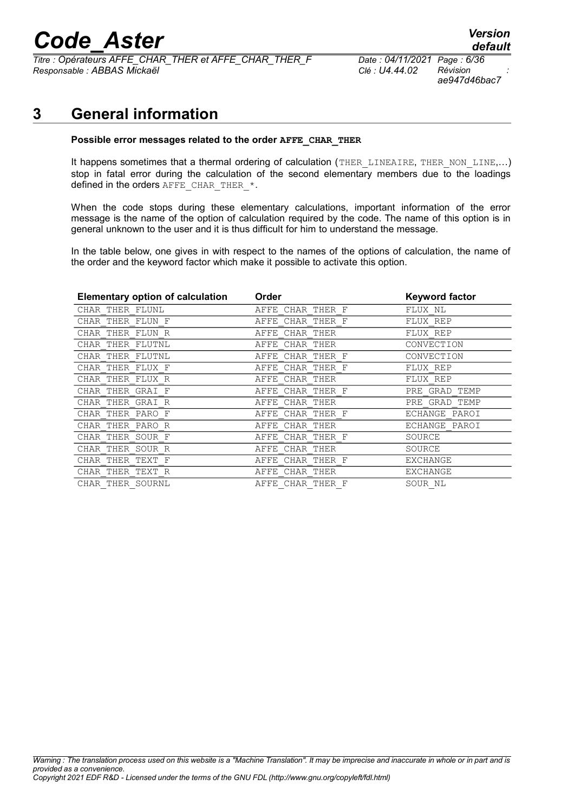# *Code\_Aster Version*<br>default<br><sup>7</sup>itre : Opérateurs AFFE CHAR THER et AFFE CHAR THER F Date : 04/11/2021 Page : 6/36

*Titre : Opérateurs AFFE\_CHAR\_THER et AFFE\_CHAR\_THER\_F Date : 04/11/2021 Page : 6/36 Responsable : ABBAS Mickaël Clé : U4.44.02 Révision :*

*default ae947d46bac7*

## **3 General information**

#### <span id="page-5-0"></span>**Possible error messages related to the order AFFE\_CHAR\_THER**

It happens sometimes that a thermal ordering of calculation (THER\_LINEAIRE, THER\_NON\_LINE,...) stop in fatal error during the calculation of the second elementary members due to the loadings defined in the orders  $A$ FFE\_CHAR\_THER\_\*.

When the code stops during these elementary calculations, important information of the error message is the name of the option of calculation required by the code. The name of this option is in general unknown to the user and it is thus difficult for him to understand the message.

In the table below, one gives in with respect to the names of the options of calculation, the name of the order and the keyword factor which make it possible to activate this option.

| <b>Elementary option of calculation</b> | Order               | <b>Keyword factor</b> |
|-----------------------------------------|---------------------|-----------------------|
| CHAR THER FLUNL                         | CHAR THER F<br>AFFE | FLUX NL               |
| CHAR THER FLUN F                        | CHAR THER F<br>AFFE | FLUX REP              |
| CHAR THER FLUN R                        | CHAR THER<br>AFFE   | FLUX REP              |
| CHAR THER FLUTNL                        | CHAR THER<br>AFFE   | CONVECTION            |
| CHAR THER FLUTNL                        | CHAR THER F<br>AFFE | CONVECTION            |
| CHAR THER FLUX F                        | CHAR THER F<br>AFFE | FLUX REP              |
| CHAR THER FLUX R                        | AFFE CHAR THER      | FLUX REP              |
| CHAR THER GRAI F                        | CHAR THER F<br>AFFE | GRAD TEMP<br>PRE      |
| CHAR THER GRAI R                        | CHAR THER<br>AFFE   | PRE GRAD TEMP         |
| CHAR THER PARO F                        | CHAR THER F<br>AFFE | ECHANGE PAROI         |
| CHAR THER PARO R                        | AFFE CHAR THER      | ECHANGE PAROI         |
| CHAR THER SOUR F                        | CHAR THER F<br>AFFE | SOURCE                |
| CHAR THER SOUR R                        | AFFE CHAR THER      | SOURCE                |
| CHAR THER TEXT F                        | CHAR THER F<br>AFFE | <b>EXCHANGE</b>       |
| CHAR THER TEXT R                        | CHAR THER<br>AFFE   | <b>EXCHANGE</b>       |
| CHAR THER SOURNL                        | AFFE CHAR THER F    | SOUR NL               |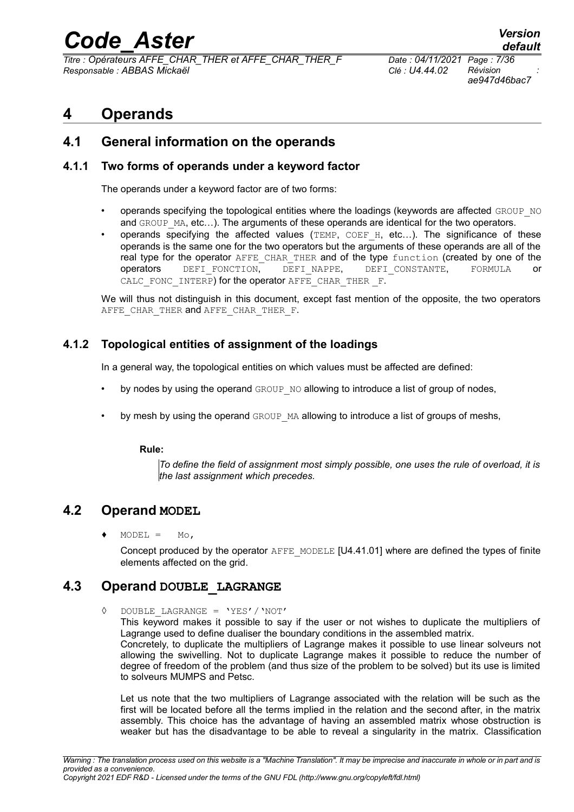*Titre : Opérateurs AFFE\_CHAR\_THER et AFFE\_CHAR\_THER\_F Date : 04/11/2021 Page : 7/36 Responsable : ABBAS Mickaël Clé : U4.44.02 Révision :*

*ae947d46bac7*

## <span id="page-6-5"></span>**4 Operands**

### <span id="page-6-4"></span>**4.1 General information on the operands**

#### **4.1.1 Two forms of operands under a keyword factor**

<span id="page-6-3"></span>The operands under a keyword factor are of two forms:

- operands specifying the topological entities where the loadings (keywords are affected  $GROUP-NO$ and GROUP MA, etc...). The arguments of these operands are identical for the two operators.
- operands specifying the affected values  $(TEMP, COEFH, etc...)$ . The significance of these operands is the same one for the two operators but the arguments of these operands are all of the real type for the operator AFFE\_CHAR\_THER and of the type function (created by one of the operators DEFI\_FONCTION, DEFI\_NAPPE, DEFI\_CONSTANTE, FORMULA or CALC FONC INTERP) for the operator AFFE CHAR THER F.

We will thus not distinguish in this document, except fast mention of the opposite, the two operators AFFE CHAR THER and AFFE CHAR THER F.

#### **4.1.2 Topological entities of assignment of the loadings**

<span id="page-6-2"></span>In a general way, the topological entities on which values must be affected are defined:

- by nodes by using the operand  $GROUP-NO$  allowing to introduce a list of group of nodes,
- by mesh by using the operand GROUP MA allowing to introduce a list of groups of meshs,

#### **Rule:**

*To define the field of assignment most simply possible, one uses the rule of overload, it is the last assignment which precedes.*

### **4.2 Operand MODEL**

<span id="page-6-1"></span> $MODEL = MO,$ 

Concept produced by the operator AFFE\_MODELE [U4.41.01] where are defined the types of finite elements affected on the grid.

### **4.3 Operand DOUBLE\_LAGRANGE**

<span id="page-6-0"></span>◊ DOUBLE\_LAGRANGE = 'YES'/'NOT'

This keyword makes it possible to say if the user or not wishes to duplicate the multipliers of Lagrange used to define dualiser the boundary conditions in the assembled matrix. Concretely, to duplicate the multipliers of Lagrange makes it possible to use linear solveurs not allowing the swivelling. Not to duplicate Lagrange makes it possible to reduce the number of degree of freedom of the problem (and thus size of the problem to be solved) but its use is limited to solveurs MUMPS and Petsc.

Let us note that the two multipliers of Lagrange associated with the relation will be such as the first will be located before all the terms implied in the relation and the second after, in the matrix assembly. This choice has the advantage of having an assembled matrix whose obstruction is weaker but has the disadvantage to be able to reveal a singularity in the matrix. Classification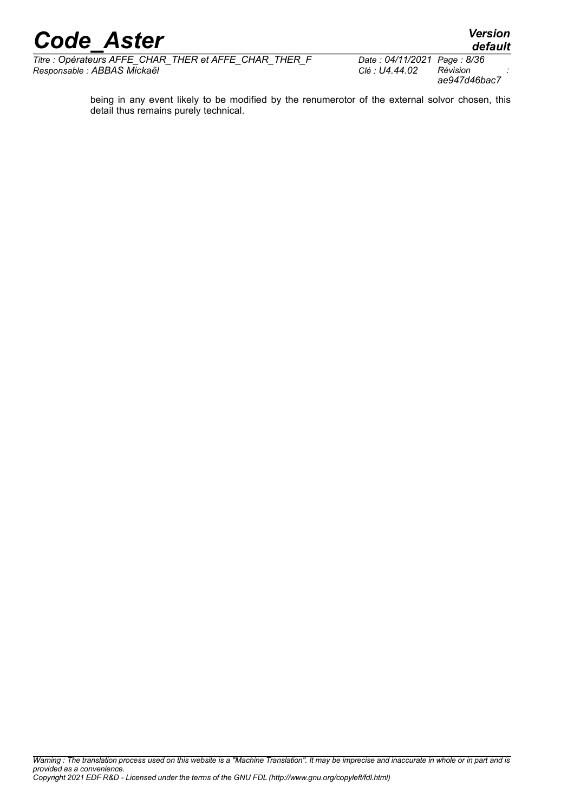# *Code\_Aster Version*<br>*Titre* : Opérateurs AFFE CHAR THER et AFFE CHAR THER F Date : 04/11/2021 Page : 8/36

*Titre : Opérateurs AFFE\_CHAR\_THER et AFFE\_CHAR\_THER\_F Date : 04/11/2021 Page : 8/36 Responsable : ABBAS Mickaël Clé : U4.44.02 Révision :*

*ae947d46bac7*

*default*

being in any event likely to be modified by the renumerotor of the external solvor chosen, this detail thus remains purely technical.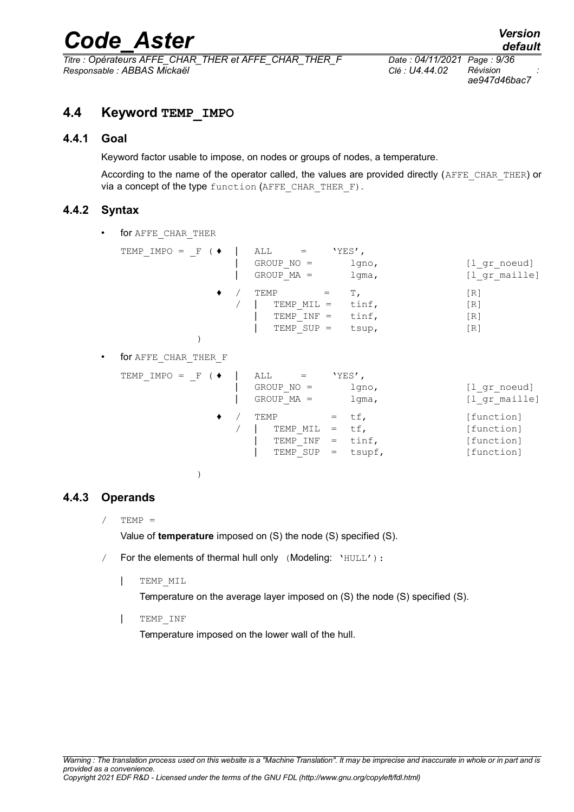*Titre : Opérateurs AFFE\_CHAR\_THER et AFFE\_CHAR\_THER\_F Date : 04/11/2021 Page : 9/36 Responsable : ABBAS Mickaël Clé : U4.44.02 Révision :*

*ae947d46bac7*

### <span id="page-8-3"></span>**4.4 Keyword TEMP\_IMPO**

#### **4.4.1 Goal**

<span id="page-8-2"></span>Keyword factor usable to impose, on nodes or groups of nodes, a temperature.

According to the name of the operator called, the values are provided directly (AFFE\_CHAR\_THER) or via a concept of the type function (AFFE CHAR THER F).

#### **4.4.2 Syntax**

<span id="page-8-1"></span>• for AFFE CHAR THER

| TEMP IMPO = $F$ ( $\blacklozenge$ | ALL<br>$=$<br>$GROUP NO =$<br>$GROUP MA =$         | $'YES'$ ,<br>lgno,<br>lgma,   | [l gr noeud]<br>[1 gr maille]                      |
|-----------------------------------|----------------------------------------------------|-------------------------------|----------------------------------------------------|
|                                   | TEMP<br>TEMP MIL =<br>TEMP $INF =$<br>$TEMP$ SUP = | т.<br>tinf,<br>tinf,<br>tsup, | [R]<br>IR <sub>1</sub><br>[R]<br>$\lceil R \rceil$ |

• for AFFE\_CHAR\_THER\_F

| TEMP IMPO = $F$ ( $\blacklozenge$ | ALL<br>$=$   |     | $YES'$ , |               |
|-----------------------------------|--------------|-----|----------|---------------|
|                                   | $GROUP NO =$ |     | $1$ qno, | [l gr noeud]  |
|                                   | $GROUP MA =$ |     | lgma,    | [1 gr maille] |
|                                   | TEMP         |     | $=$ tf,  | [function]    |
|                                   | TEMP MIL     | $=$ | tf,      | [function]    |
|                                   | TEMP INF     | $=$ | tinf,    | [function]    |
|                                   | TEMP SUP     | $=$ | tsupf,   | [function]    |
|                                   |              |     |          |               |

)

#### **4.4.3 Operands**

<span id="page-8-0"></span> $TEMP =$ 

Value of **temperature** imposed on (S) the node (S) specified (S).

- / For the elements of thermal hull only (Modeling: 'HULL'):
	- | TEMP\_MIL

Temperature on the average layer imposed on (S) the node (S) specified (S).

| TEMP\_INF

Temperature imposed on the lower wall of the hull.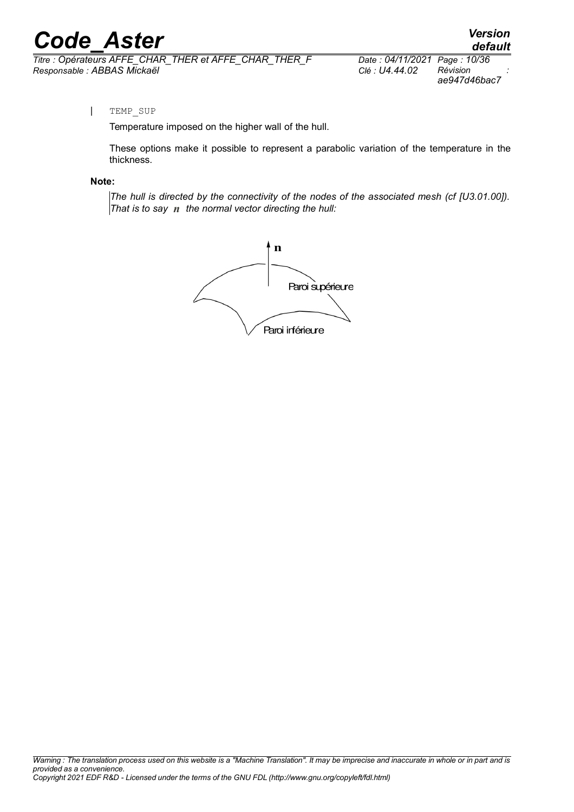*Titre : Opérateurs AFFE\_CHAR\_THER et AFFE\_CHAR\_THER\_F Date : 04/11/2021 Page : 10/36 Responsable : ABBAS Mickaël Clé : U4.44.02 Révision :*

*default ae947d46bac7*

#### | TEMP\_SUP

Temperature imposed on the higher wall of the hull.

These options make it possible to represent a parabolic variation of the temperature in the thickness.

#### **Note:**

*The hull is directed by the connectivity of the nodes of the associated mesh (cf [U3.01.00]). That is to say n the normal vector directing the hull:*

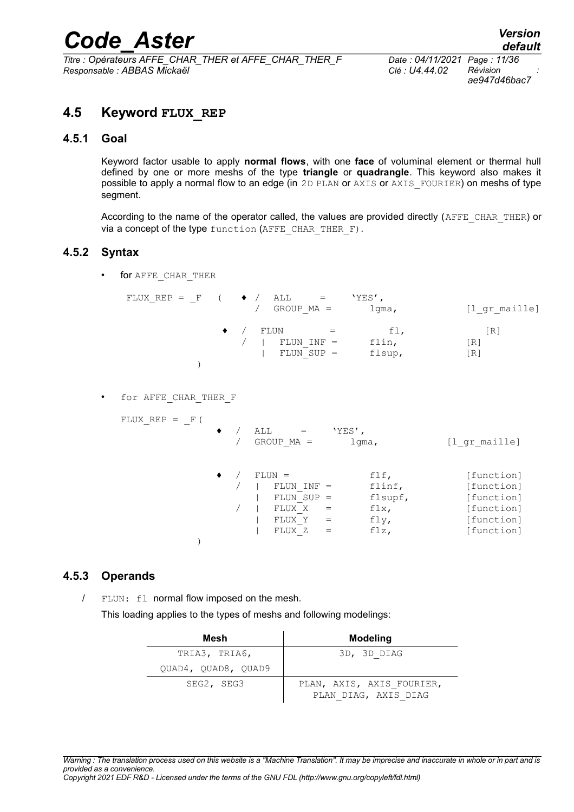*ae947d46bac7*

## <span id="page-10-3"></span>**4.5 Keyword FLUX\_REP**

#### **4.5.1 Goal**

<span id="page-10-2"></span>Keyword factor usable to apply **normal flows**, with one **face** of voluminal element or thermal hull defined by one or more meshs of the type **triangle** or **quadrangle**. This keyword also makes it possible to apply a normal flow to an edge (in 2D PLAN or AXIS or AXIS FOURIER) on meshs of type segment.

According to the name of the operator called, the values are provided directly (AFFE\_CHAR\_THER) or via a concept of the type function (AFFE CHAR THER F).

#### **4.5.2 Syntax**

<span id="page-10-1"></span>• for AFFE\_CHAR\_THER

| / FLUN |                      |        |                   |
|--------|----------------------|--------|-------------------|
|        | $\sim$ $\sim$ $\sim$ | fl,    | $\lceil R \rceil$ |
|        | FLUN INF =           | flin,  | [R]               |
|        | $FLUN$ SUP $=$       | flsup, | [R]               |

• for AFFE\_CHAR\_THER\_F

FLUX  $REP = F($ 

|  | ALL<br>$GROUP MA =$                                         | 'YES'<br>$1$ qma,                         | [1 gr maille]                                                      |
|--|-------------------------------------------------------------|-------------------------------------------|--------------------------------------------------------------------|
|  | $FLUN =$<br>FLUN<br>$INF =$<br>FLUN SUP<br>FLUX X<br>FLUX Y | flf,<br>flinf,<br>flsupf,<br>flx,<br>fly, | [function]<br>[function]<br>[function]<br>[function]<br>[function] |
|  | FLUX Z                                                      | flz,                                      | [function]                                                         |

#### **4.5.3 Operands**

<span id="page-10-0"></span>/ FLUN: fl normal flow imposed on the mesh. This loading applies to the types of meshs and following modelings:

| Mesh                | <b>Modeling</b>                                   |
|---------------------|---------------------------------------------------|
| TRIA3, TRIA6,       | 3D, 3D DIAG                                       |
| QUAD4, QUAD8, QUAD9 |                                                   |
| SEG2, SEG3          | PLAN, AXIS, AXIS FOURIER,<br>PLAN DIAG, AXIS DIAG |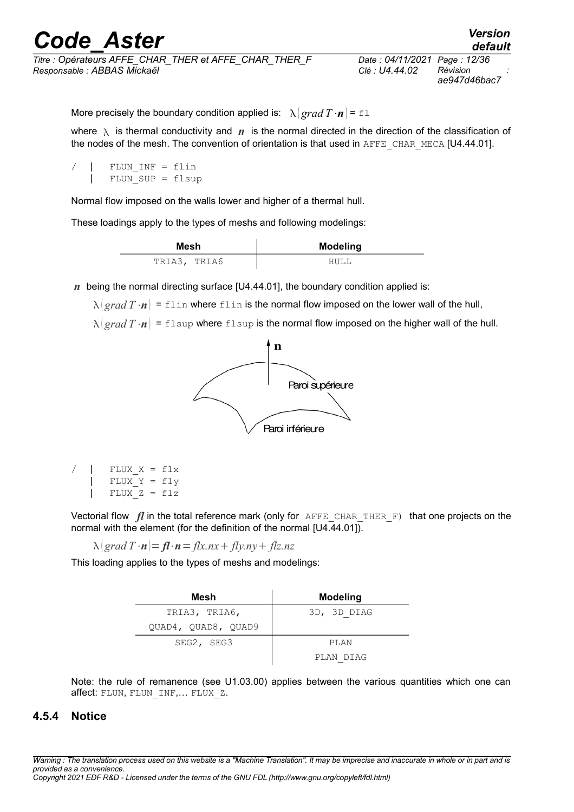More precisely the boundary condition applied is:  $\lambda |grad T \cdot n| = \pm 1$ 

where  $\lambda$  is thermal conductivity and *n* is the normal directed in the direction of the classification of the nodes of the mesh. The convention of orientation is that used in AFFE\_CHAR\_MECA [U4.44.01].

```
FLUN INF = flinFLUN SUP = flsup
```
Normal flow imposed on the walls lower and higher of a thermal hull.

These loadings apply to the types of meshs and following modelings:

| Mesh         | <b>Modeling</b> |
|--------------|-----------------|
| TRIA3, TRIA6 |                 |

*n* being the normal directing surface [U4.44.01], the boundary condition applied is:

 $\lambda \left( \frac{\rho}{\rho} T \cdot n \right)$  = flin where flin is the normal flow imposed on the lower wall of the hull,

 $\lambda$  *grad*  $T \cdot n$  = flsup where flsup is the normal flow imposed on the higher wall of the hull.



 $FLUX X = flx$ FLUX  $Y = fly$ FLUX  $Z = f1z$ 

Vectorial flow *fl* in the total reference mark (only for AFFE CHAR THER F) that one projects on the normal with the element (for the definition of the normal [U4.44.01]).

 $\lambda$  | grad  $T \cdot n$  | =  $f\ell \cdot n$  =  $f\ell x$ .nx +  $f\ell y$ .ny +  $f\ell z$ .nz

This loading applies to the types of meshs and modelings:

| Mesh                | <b>Modeling</b> |
|---------------------|-----------------|
| TRIA3, TRIA6,       | 3D, 3D DIAG     |
| QUAD4, QUAD8, QUAD9 |                 |
| SEG2, SEG3          | PLAN            |
|                     | PLAN DIAG       |

<span id="page-11-0"></span>Note: the rule of remanence (see U1.03.00) applies between the various quantities which one can affect: FLUN, FLUN INF,... FLUX Z.

#### **4.5.4 Notice**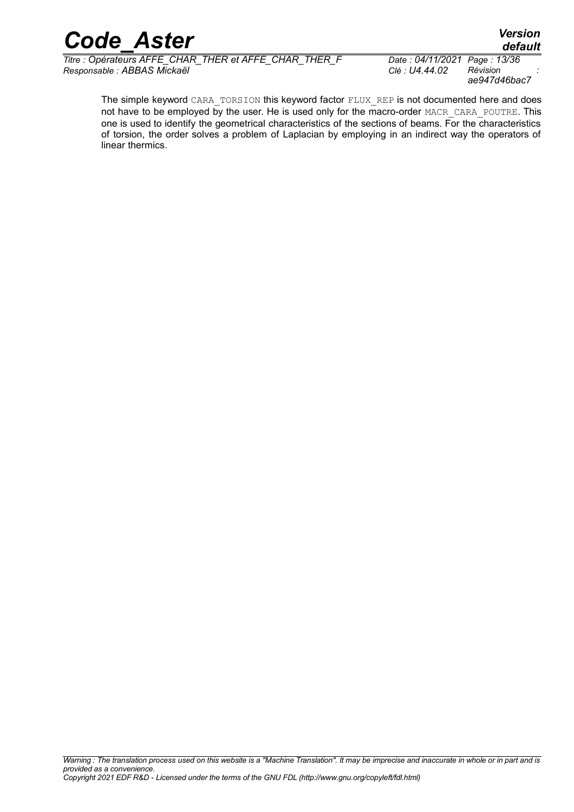*Titre : Opérateurs AFFE\_CHAR\_THER et AFFE\_CHAR\_THER\_F Date : 04/11/2021 Page : 13/36 Responsable : ABBAS Mickaël Clé : U4.44.02 Révision :*

*ae947d46bac7*

The simple keyword CARA\_TORSION this keyword factor FLUX\_REP is not documented here and does not have to be employed by the user. He is used only for the macro-order MACR\_CARA\_POUTRE. This one is used to identify the geometrical characteristics of the sections of beams. For the characteristics of torsion, the order solves a problem of Laplacian by employing in an indirect way the operators of linear thermics.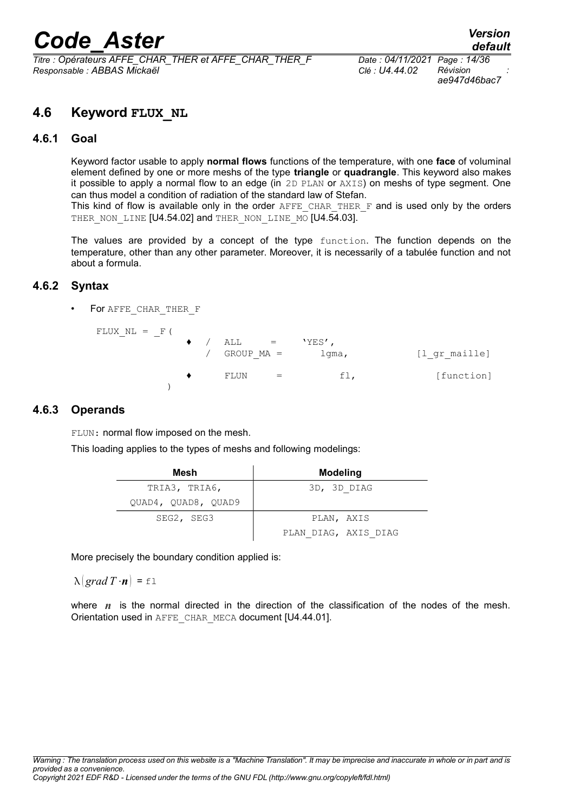*Titre : Opérateurs AFFE\_CHAR\_THER et AFFE\_CHAR\_THER\_F Date : 04/11/2021 Page : 14/36 Responsable : ABBAS Mickaël Clé : U4.44.02 Révision :*

*ae947d46bac7*

## <span id="page-13-3"></span>**4.6 Keyword FLUX\_NL**

#### **4.6.1 Goal**

<span id="page-13-2"></span>Keyword factor usable to apply **normal flows** functions of the temperature, with one **face** of voluminal element defined by one or more meshs of the type **triangle** or **quadrangle**. This keyword also makes it possible to apply a normal flow to an edge (in 2D PLAN or AXIS) on meshs of type segment. One can thus model a condition of radiation of the standard law of Stefan.

This kind of flow is available only in the order  $A$ FFE\_CHAR\_THER\_F and is used only by the orders THER NON LINE [U4.54.02] and THER NON LINE MO [U4.54.03].

The values are provided by a concept of the type function. The function depends on the temperature, other than any other parameter. Moreover, it is necessarily of a tabulée function and not about a formula.

#### **4.6.2 Syntax**

<span id="page-13-1"></span>For AFFE\_CHAR\_THER\_F

FLUX  $NL = \_F$  (  $/$  ALL = 'YES', GROUP MA = lgma, [l gr maille]  $FLUN = fl,$  [function]  $\lambda$ 

#### **4.6.3 Operands**

<span id="page-13-0"></span>FLUN: normal flow imposed on the mesh.

This loading applies to the types of meshs and following modelings:

| Mesh                | Modeling             |
|---------------------|----------------------|
| TRIA3, TRIA6,       | 3D, 3D DIAG          |
| OUAD4, OUAD8, OUAD9 |                      |
| SEG2, SEG3          | PLAN, AXIS           |
|                     | PLAN DIAG, AXIS DIAG |

More precisely the boundary condition applied is:

 $\lambda \left( \text{grad } T \cdot \mathbf{n} \right) = \pm 1$ 

where *n* is the normal directed in the direction of the classification of the nodes of the mesh. Orientation used in AFFE\_CHAR\_MECA document [U4.44.01].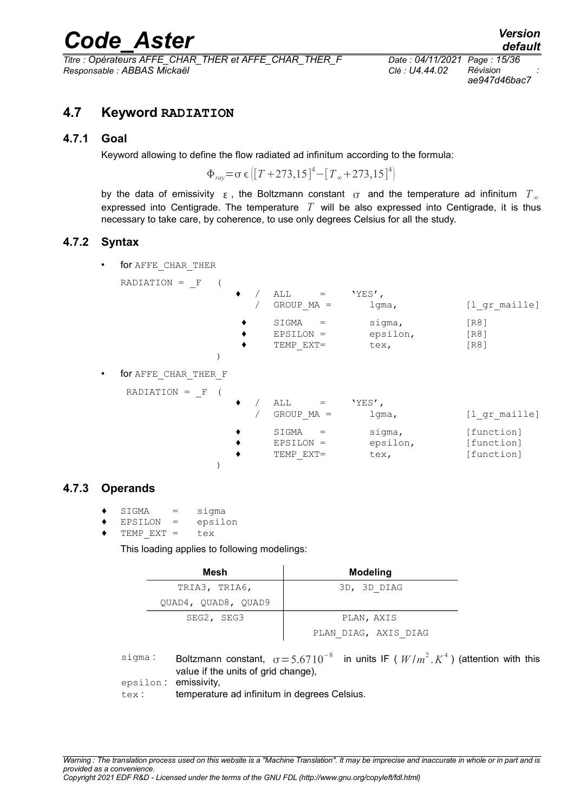*Titre : Opérateurs AFFE\_CHAR\_THER et AFFE\_CHAR\_THER\_F Date : 04/11/2021 Page : 15/36 Responsable : ABBAS Mickaël Clé : U4.44.02 Révision :*

*ae947d46bac7*

### <span id="page-14-3"></span>**4.7 Keyword RADIATION**

#### **4.7.1 Goal**

<span id="page-14-2"></span>Keyword allowing to define the flow radiated ad infinitum according to the formula:

 $\Phi_{\text{ray}} = \sigma \epsilon \left[ [T + 273.15]^4 - [T_{\infty} + 273.15]^4 \right]$ 

by the data of emissivity  $\epsilon$ , the Boltzmann constant  $\sigma$  and the temperature ad infinitum  $T_{\infty}$ expressed into Centigrade. The temperature *T* will be also expressed into Centigrade, it is thus necessary to take care, by coherence, to use only degrees Celsius for all the study.

#### **4.7.2 Syntax**

<span id="page-14-1"></span>for AFFE\_CHAR\_THER

|   | RADIATION =<br>$-$ F |   |                                                  |                            |                                        |
|---|----------------------|---|--------------------------------------------------|----------------------------|----------------------------------------|
|   |                      |   | ALL<br>$\mathbf{r} = \mathbf{r}$<br>$GROUP MA =$ | $YES'$ ,<br>$1$ qma,       | [l gr maille]                          |
|   |                      |   | SIGMA<br>$=$<br>EPSILON =<br>TEMP EXT=           | sigma,<br>epsilon,<br>tex, | [R8]<br>[R8]<br>[R8]                   |
|   |                      |   |                                                  |                            |                                        |
| ٠ | for AFFE CHAR THER F |   |                                                  |                            |                                        |
|   | $RADIATION = F$      |   |                                                  |                            |                                        |
|   |                      | ٠ | ALL<br>$\mathbf{r} = \mathbf{r}$<br>$GROUP MA =$ | $YES'$ ,<br>$1$ qma,       | [l gr maille]                          |
|   |                      |   | SIGMA<br>$=$<br>EPSILON =<br>TEMP EXT=           | sigma,<br>epsilon,<br>tex, | [function]<br>[function]<br>[function] |
|   |                      |   |                                                  |                            |                                        |

#### **4.7.3 Operands**

- <span id="page-14-0"></span> $SIGMA = sigma$
- EPSILON = epsilon
- $TEMP EXT =$  tex

This loading applies to following modelings:

| Mesh                | <b>Modeling</b>      |
|---------------------|----------------------|
| TRIA3, TRIA6,       | 3D, 3D DIAG          |
| QUAD4, QUAD8, QUAD9 |                      |
| SEG2, SEG3          | PLAN, AXIS           |
|                     | PLAN DIAG, AXIS DIAG |

sigma : Boltzmann constant,  $\sigma = 5.6710^{-8}$  in units IF (  $W/m^2$  ,  $K^4$  ) (attention with this value if the units of grid change).

epsilon : emissivity,

tex : temperature ad infinitum in degrees Celsius.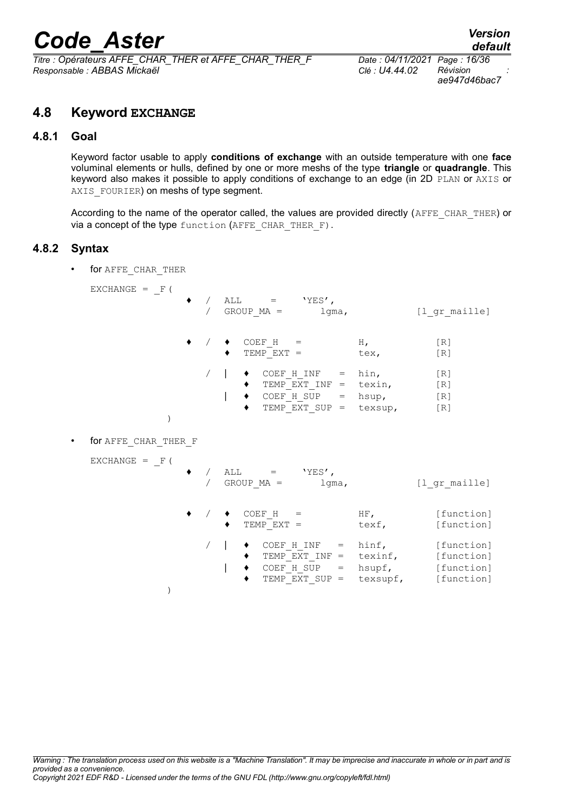*Titre : Opérateurs AFFE\_CHAR\_THER et AFFE\_CHAR\_THER\_F Date : 04/11/2021 Page : 16/36 Responsable : ABBAS Mickaël Clé : U4.44.02 Révision :*

*ae947d46bac7*

## <span id="page-15-2"></span>**4.8 Keyword EXCHANGE**

#### **4.8.1 Goal**

<span id="page-15-1"></span>Keyword factor usable to apply **conditions of exchange** with an outside temperature with one **face** voluminal elements or hulls, defined by one or more meshs of the type **triangle** or **quadrangle**. This keyword also makes it possible to apply conditions of exchange to an edge (in 2D PLAN or AXIS or AXIS FOURIER) on meshs of type segment.

According to the name of the operator called, the values are provided directly (AFFE CHAR THER) or via a concept of the type function (AFFE CHAR THER F).

#### **4.8.2 Syntax**

<span id="page-15-0"></span>for AFFE\_CHAR\_THER

 $EXCHANGE = F$  (

)

 $/$  ALL =  $'YES'$ , / GROUP MA = lgma, [l gr maille]  $\bullet$  COEF H = H, [R]  $\bullet$  TEMP EXT = tex, [R]  $\downarrow$   $\bullet$   $\text{COEF}_H$  INF = hin, [R]  $\blacklozenge$  TEMP $\overline{\text{EXT}}$  INF = texin, [R]  $\bullet$  COEF H SUP = hsup, [R] TEMP EXT SUP = texsup,  $[R]$ ) • for AFFE\_CHAR\_THER\_F  $EXCHANGE = F($  $/$  ALL = 'YES', / GROUP MA = lgma, [l gr maille]  $/ \bullet$  COEF H = HF, [function]  $\triangleleft$  TEMP EXT = texf, [function]  $/ \parallel \bullet \quad \text{COEF H INF} = \text{hinf,}$  [function]  $\triangleleft$  TEMP  $\overline{EXT}$  INF = texinf, [function]  $\overline{ }$   $\bullet$  COEF H SUP = hsupf, [function]  $TEMP$   $EXT$  SUP = texsupf, [function]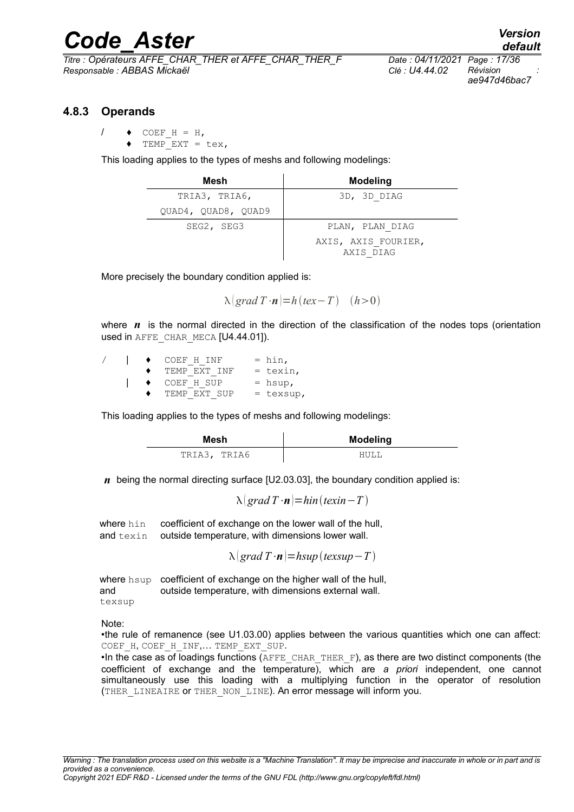*Titre : Opérateurs AFFE\_CHAR\_THER et AFFE\_CHAR\_THER\_F Date : 04/11/2021 Page : 17/36 Responsable : ABBAS Mickaël Clé : U4.44.02 Révision :*

*ae947d46bac7*

#### **4.8.3 Operands**

- <span id="page-16-0"></span>/  $\leftrightarrow$  COEF H = H,
	- $TEMP$  $EXT = \text{tex}$ ,

This loading applies to the types of meshs and following modelings:

| Mesh                | <b>Modeling</b>                  |
|---------------------|----------------------------------|
| TRIA3, TRIA6,       | 3D, 3D DIAG                      |
| OUAD4, OUAD8, OUAD9 |                                  |
| SEG2, SEG3          | PLAN, PLAN DIAG                  |
|                     | AXIS, AXIS FOURIER,<br>AXIS DIAG |

More precisely the boundary condition applied is:

 $\lambda$  *grad*  $T \cdot n$  = *h* (*tex* - *T*) (*h* > 0)

where *n* is the normal directed in the direction of the classification of the nodes tops (orientation used in AFFE\_CHAR\_MECA [U4.44.01]).

|  | COEF H INF   | $=$ hin,    |
|--|--------------|-------------|
|  | TEMP EXT INF | $=$ texin,  |
|  | COEF H SUP   | $=$ hsup,   |
|  | TEMP EXT SUP | $=$ texsup, |

This loading applies to the types of meshs and following modelings:

| Mesh         | <b>Modeling</b> |
|--------------|-----------------|
| TRIA3, TRIA6 |                 |

*n* being the normal directing surface [U2.03.03], the boundary condition applied is:

 $\lambda$ *grad*  $T \cdot n$ *=hin*(*texin* - *T*)

where hin coefficient of exchange on the lower wall of the hull, and texin outside temperature, with dimensions lower wall.

 $\lambda$ *grad*  $T \cdot n$ *=hsup* (*texsup* - *T*)

where hsup coefficient of exchange on the higher wall of the hull, and texsup outside temperature, with dimensions external wall.

Note:

•the rule of remanence (see U1.03.00) applies between the various quantities which one can affect: COEF\_H, COEF H INF,... TEMP EXT SUP.

•In the case as of loadings functions ( $A$ FFE\_CHAR\_THER\_F), as there are two distinct components (the coefficient of exchange and the temperature), which are *a priori* independent, one cannot simultaneously use this loading with a multiplying function in the operator of resolution (THER\_LINEAIRE or THER\_NON\_LINE). An error message will inform you.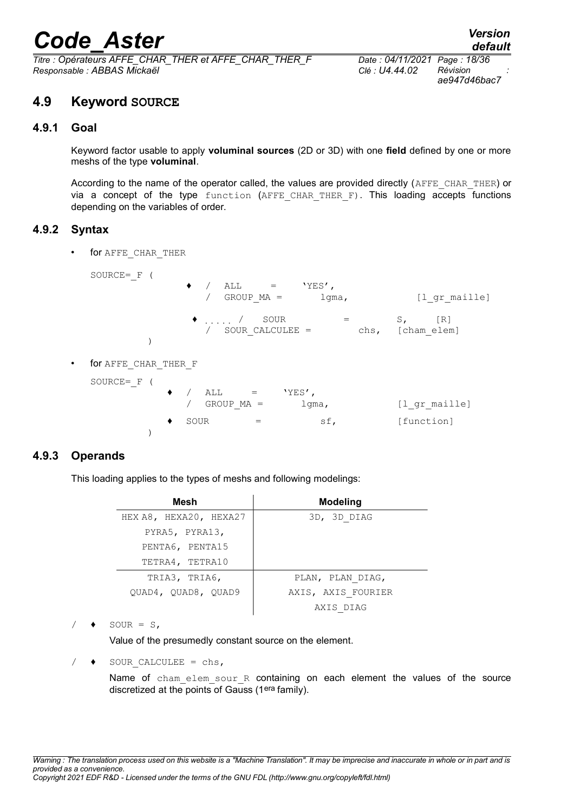*Titre : Opérateurs AFFE\_CHAR\_THER et AFFE\_CHAR\_THER\_F Date : 04/11/2021 Page : 18/36 Responsable : ABBAS Mickaël Clé : U4.44.02 Révision :*

*ae947d46bac7*

### <span id="page-17-3"></span>**4.9 Keyword SOURCE**

#### **4.9.1 Goal**

<span id="page-17-2"></span>Keyword factor usable to apply **voluminal sources** (2D or 3D) with one **field** defined by one or more meshs of the type **voluminal**.

According to the name of the operator called, the values are provided directly (AFFE\_CHAR\_THER) or via a concept of the type function (AFFE CHAR THER F). This loading accepts functions depending on the variables of order.

#### **4.9.2 Syntax**

<span id="page-17-1"></span>• for AFFE\_CHAR\_THER

|   | SOURCE= $F($         |   | $\bullet$ / | $\text{ALL}$ = 'YES',<br>$GROUP MA =$    |                     | lgma, |      |                           | [1 gr maille] |
|---|----------------------|---|-------------|------------------------------------------|---------------------|-------|------|---------------------------|---------------|
|   |                      |   |             | $\bullet$ /<br>SOUR<br>/ SOUR CALCULEE = |                     |       | chs, | $S_{\ell}$<br>[cham elem] | [R]           |
| ٠ | for AFFE CHAR THER F |   |             |                                          |                     |       |      |                           |               |
|   | SOURCE= $F($         | ٠ |             | $/$ ALL $=$                              | $'$ YES $^\prime$ , |       |      |                           |               |
|   |                      |   |             | $GROUP MA =$                             | lgma,               |       |      |                           | [1 gr maille] |
|   |                      |   | SOUR        | $=$                                      |                     | sf,   |      | [function]                |               |
|   |                      |   |             |                                          |                     |       |      |                           |               |

#### **4.9.3 Operands**

<span id="page-17-0"></span>This loading applies to the types of meshs and following modelings:

| Mesh                   | <b>Modeling</b>    |
|------------------------|--------------------|
| HEX A8, HEXA20, HEXA27 | 3D, 3D DIAG        |
| PYRA5, PYRA13,         |                    |
| PENTA6, PENTA15        |                    |
| TETRA4, TETRA10        |                    |
| TRIA3, TRIA6,          | PLAN, PLAN DIAG,   |
| OUAD4, OUAD8, OUAD9    | AXIS, AXIS FOURIER |
|                        | AXIS DIAG          |

 $SOUR = S$ ,

Value of the presumedly constant source on the element.

SOUR CALCULEE =  $chs,$ 

Name of cham elem sour R containing on each element the values of the source discretized at the points of Gauss (1era family).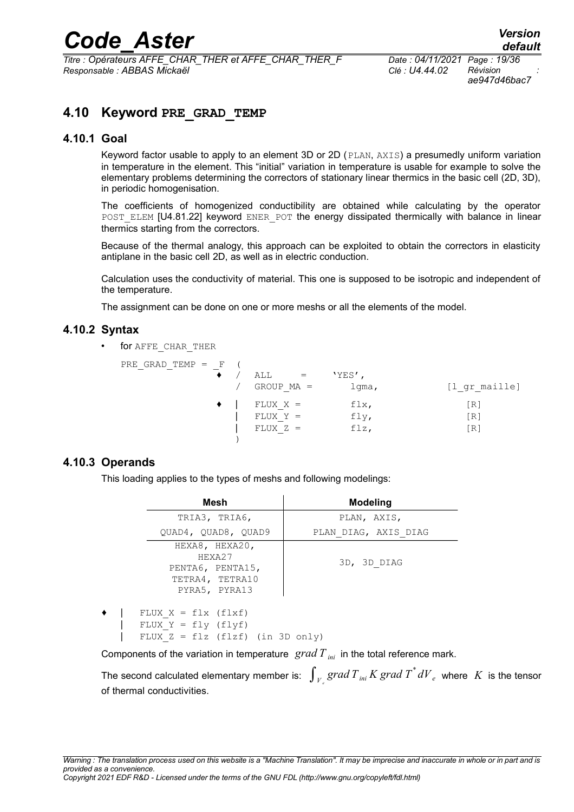*Titre : Opérateurs AFFE\_CHAR\_THER et AFFE\_CHAR\_THER\_F Date : 04/11/2021 Page : 19/36 Responsable : ABBAS Mickaël Clé : U4.44.02 Révision :*

*ae947d46bac7*

## <span id="page-18-3"></span>**4.10 Keyword PRE\_GRAD\_TEMP**

#### **4.10.1 Goal**

<span id="page-18-2"></span>Keyword factor usable to apply to an element 3D or 2D (PLAN, AXIS) a presumedly uniform variation in temperature in the element. This "initial" variation in temperature is usable for example to solve the elementary problems determining the correctors of stationary linear thermics in the basic cell (2D, 3D), in periodic homogenisation.

The coefficients of homogenized conductibility are obtained while calculating by the operator POST\_ELEM [U4.81.22] keyword ENER\_POT the energy dissipated thermically with balance in linear thermics starting from the correctors.

Because of the thermal analogy, this approach can be exploited to obtain the correctors in elasticity antiplane in the basic cell 2D, as well as in electric conduction.

Calculation uses the conductivity of material. This one is supposed to be isotropic and independent of the temperature.

The assignment can be done on one or more meshs or all the elements of the model.

#### **4.10.2 Syntax**

<span id="page-18-1"></span>for AFFE\_CHAR\_THER

| PRE GRAD TEMP $=$ F |              |             |                   |
|---------------------|--------------|-------------|-------------------|
|                     | ALL          | $'YES'$ ,   |                   |
|                     | $GROUP MA =$ | $1$ gma,    | [l gr maille]     |
|                     | $FLUX X =$   | fix,        | [R]               |
|                     | $FLUX Y =$   | fly,        | $\lceil R \rceil$ |
|                     | $FLUX Z =$   | $f\,l\,z$ , | $\lceil R \rceil$ |
|                     |              |             |                   |

#### **4.10.3 Operands**

<span id="page-18-0"></span>This loading applies to the types of meshs and following modelings:

|   | Mesh                                                                                 | <b>Modeling</b>      |
|---|--------------------------------------------------------------------------------------|----------------------|
|   | TRIA3, TRIA6,                                                                        | PLAN, AXIS,          |
|   | QUAD4, QUAD8, QUAD9                                                                  | PLAN DIAG, AXIS DIAG |
|   | HEXA8, HEXA20,<br>HEXA27<br>PENTA6, PENTA15,<br>TETRA4, TETRA10<br>PYRA5, PYRA13     | 3D, 3D DIAG          |
| ٠ | FLUX $X = flx$ (flxf)<br>FLUX $Y = fly (flyf)$<br>FLUX $Z = f1z$ (flzf) (in 3D only) |                      |

Components of the variation in temperature  $\mathit{grad} T_{\mathit{ini}}$  in the total reference mark.

The second calculated elementary member is:  $\,\int_{\,V_{\,\varepsilon}}{grad\,T_{\,\,ini}\,K\,grad\,T^*\,dV_{\,\,e}}\,}$  where  $\,\,K\,$  is the tensor of thermal conductivities.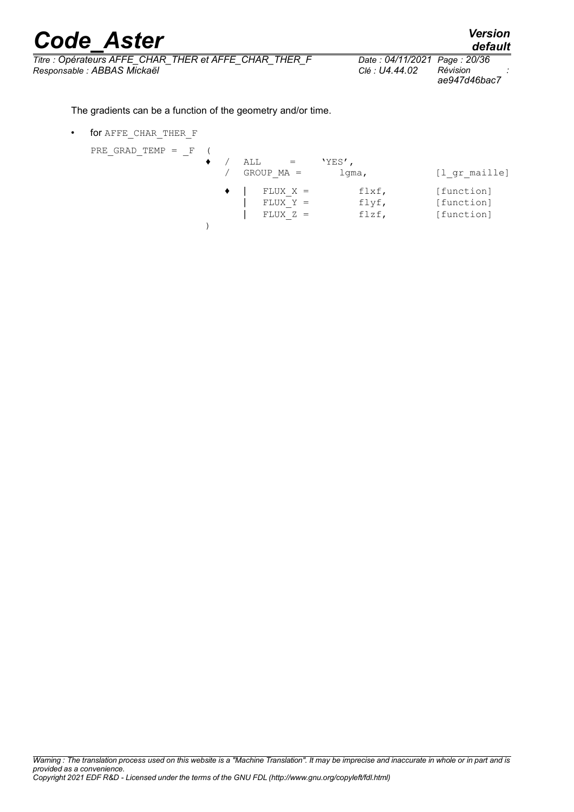*Titre : Opérateurs AFFE\_CHAR\_THER et AFFE\_CHAR\_THER\_F Date : 04/11/2021 Page : 20/36 Responsable : ABBAS Mickaël Clé : U4.44.02 Révision :*

*ae947d46bac7*

The gradients can be a function of the geometry and/or time.

• for AFFE\_CHAR\_THER\_F

PRE GRAD TEMP  $=$  F (

| KE GKAD IEMP = F |  | ALL<br>$GROUP MA =$                    | $YES'$ ,<br>$1$ qma,    | [l gr maille]                          |
|------------------|--|----------------------------------------|-------------------------|----------------------------------------|
|                  |  | $FLUX X =$<br>$FLUX Y =$<br>$FLUX Z =$ | flxf,<br>flyf,<br>flzf, | [function]<br>[function]<br>[function] |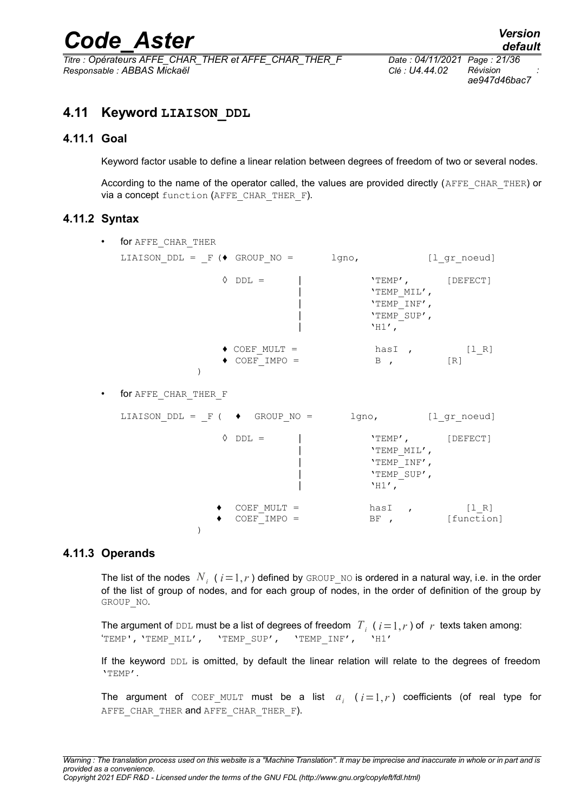*Titre : Opérateurs AFFE\_CHAR\_THER et AFFE\_CHAR\_THER\_F Date : 04/11/2021 Page : 21/36 Responsable : ABBAS Mickaël Clé : U4.44.02 Révision :*

*ae947d46bac7*

## <span id="page-20-3"></span>**4.11 Keyword LIAISON\_DDL**

#### **4.11.1 Goal**

<span id="page-20-2"></span>Keyword factor usable to define a linear relation between degrees of freedom of two or several nodes.

According to the name of the operator called, the values are provided directly (AFFE\_CHAR\_THER) or via a concept function (AFFE\_CHAR\_THER\_F).

#### **4.11.2 Syntax**

<span id="page-20-1"></span>

| ٠ | for AFFE CHAR THER                                            |                                                |  |                                                                                    |                |
|---|---------------------------------------------------------------|------------------------------------------------|--|------------------------------------------------------------------------------------|----------------|
|   | LIAISON DDL = $F$ ( $\blacklozenge$ GROUP NO = $\qquad$ lgno, |                                                |  |                                                                                    | [l_gr_noeud]   |
|   |                                                               | $\Diamond$ DDL =                               |  | $'TEMP'$ , $[DEFECT]$<br>'TEMP MIL',<br>'TEMP INF',<br>'TEMP SUP',<br>$'$ H1 $'$ , |                |
|   |                                                               | $\bullet$ COEF MULT =<br>$\bullet$ COEF IMPO = |  | hasI, [l_R]<br>B, [R]                                                              |                |
| ٠ | for AFFE CHAR_THER_F                                          |                                                |  |                                                                                    |                |
|   | LIAISON DDL = $F$ ( $\bullet$ GROUP NO = 1gno, [1 gr noeud]   |                                                |  |                                                                                    |                |
|   |                                                               | $\Diamond$ DDL =                               |  | $'TEMP'$ , $[DEFECT]$<br>'TEMP MIL',<br>'TEMP INF',<br>'TEMP SUP',<br>$'$ H1 $'$ , |                |
|   |                                                               | COEF MULT =<br>$COEF$ IMPO =                   |  | has $[1_R]$                                                                        | BF, [function] |

#### **4.11.3 Operands**

 $\lambda$ 

<span id="page-20-0"></span>The list of the nodes  $\left| N_{i}\right|$  (  $i\!=\!1,r$  ) defined by <code>GROUP\_NO</code> is ordered in a natural way, i.e. in the order of the list of group of nodes, and for each group of nodes, in the order of definition of the group by GROUP\_NO.

The argument of DDL must be a list of degrees of freedom  $\left|T_i\right\rangle$  (  $i\!=\!1,r$  ) of  $\left|r\right\rangle$  texts taken among: 'TEMP', 'TEMP\_MIL', 'TEMP\_SUP', 'TEMP\_INF', 'H1'

If the keyword DDL is omitted, by default the linear relation will relate to the degrees of freedom 'TEMP'.

The argument of  $\text{COEF\_MULT}$  must be a list  $a_i$  ( $i=1,r$ ) coefficients (of real type for AFFE CHAR THER and AFFE CHAR THER F).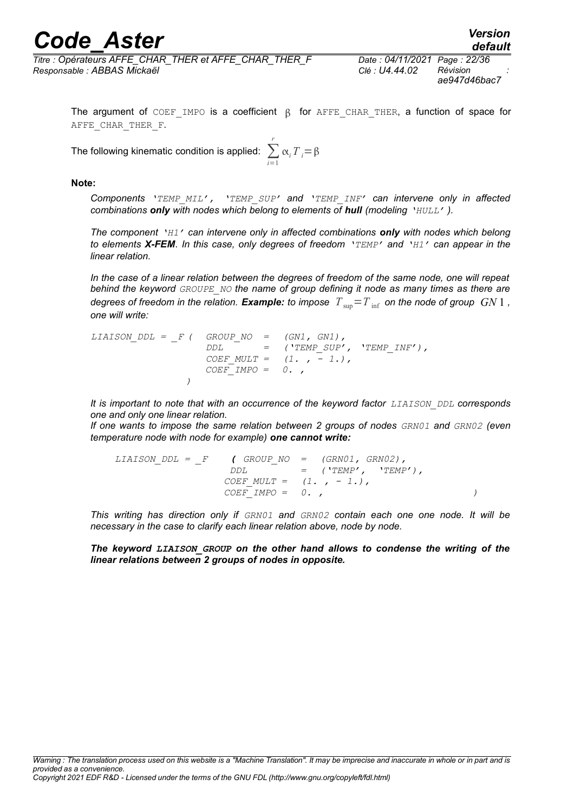# *Code\_Aster*<br>*Code\_Aster Version*<br>*Coderateurs AFFE CHAR THER et AFFE CHAR THER F* Date : 04/11/2021 Page : 22/36

*Titre : Opérateurs AFFE\_CHAR\_THER et AFFE\_CHAR\_THER\_F Date : 04/11/2021 Page : 22/36 Responsable : ABBAS Mickaël Clé : U4.44.02 Révision :*

*ae947d46bac7*

*default*

The argument of COEF IMPO is a coefficient  $\beta$  for AFFE CHAR THER, a function of space for AFFE CHAR THER F.

The following kinematic condition is applied:  $\sum^{r}$ *i*=1  $\alpha_i T_i = \beta$ 

#### **Note:**

*Components 'TEMP\_MIL', 'TEMP\_SUP' and 'TEMP\_INF' can intervene only in affected combinations only with nodes which belong to elements of hull (modeling 'HULL' ).*

*The component 'H1' can intervene only in affected combinations only with nodes which belong to elements X-FEM. In this case, only degrees of freedom 'TEMP' and 'H1' can appear in the linear relation.*

*In the case of a linear relation between the degrees of freedom of the same node, one will repeat behind the keyword GROUPE\_NO the name of group defining it node as many times as there are degrees of freedom in the relation. Example: to impose*  $T_{\text{sun}} = T_{\text{inf}}$  *on the node of group*  $GN1$ , *one will write:*

```
LIAISON_DDL = _F ( GROUP_NO = (GN1, GN1),
                  DDL = ('TEMP_SUP', 'TEMP_INF'),
                  COEF_MULT = (1. , - 1.),
                 COEF_IMPO = 0. ,
               )
```
*It is important to note that with an occurrence of the keyword factor <i>LIAISON DDL* corresponds *one and only one linear relation.*

*If one wants to impose the same relation between 2 groups of nodes GRN01 and GRN02 (even temperature node with node for example) one cannot write:*

*LIAISON\_DDL = \_F ( GROUP\_NO = (GRN01, GRN02), DDL = ('TEMP', 'TEMP'), COEF\_MULT = (1. , - 1.), COEF\_IMPO = 0. , )*

*This writing has direction only if GRN01 and GRN02 contain each one one node. It will be necessary in the case to clarify each linear relation above, node by node.*

*The keyword LIAISON\_GROUP on the other hand allows to condense the writing of the linear relations between 2 groups of nodes in opposite.*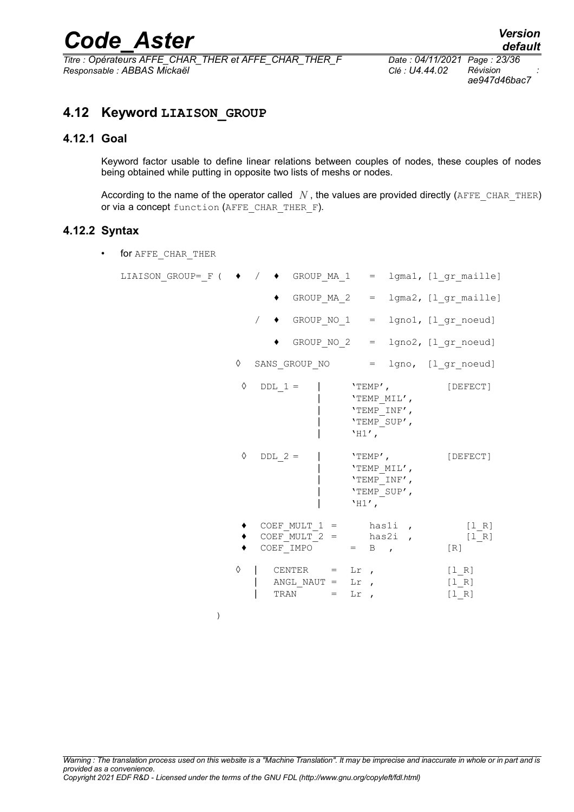# *Code\_Aster Version*<br>*Titre* : Opérateurs AFFE CHAR THER et AFFE CHAR THER F Date : 04/11/2021 Page : 23/36

*Titre : Opérateurs AFFE\_CHAR\_THER et AFFE\_CHAR\_THER\_F Date : 04/11/2021 Page : 23/36 Responsable : ABBAS Mickaël Clé : U4.44.02 Révision :*

*ae947d46bac7*

## <span id="page-22-2"></span>**4.12 Keyword LIAISON\_GROUP**

#### **4.12.1 Goal**

<span id="page-22-1"></span>Keyword factor usable to define linear relations between couples of nodes, these couples of nodes being obtained while putting in opposite two lists of meshs or nodes.

According to the name of the operator called  $N$ , the values are provided directly (AFFE\_CHAR\_THER) or via a concept function (AFFE\_CHAR\_THER\_F).

#### **4.12.2 Syntax**

<span id="page-22-0"></span>• for AFFE\_CHAR\_THER

| LIAISON GROUP= $F$ ( $\rightarrow$ / $\rightarrow$ GROUP MA 1 = 1gma1, [1 gr maille] |   |           |                                                                                       |              |          |                                                         |                             |          |
|--------------------------------------------------------------------------------------|---|-----------|---------------------------------------------------------------------------------------|--------------|----------|---------------------------------------------------------|-----------------------------|----------|
|                                                                                      |   |           | GROUP MA $2 = 1$ gma $2$ , $[1$ gr maille]                                            |              |          |                                                         |                             |          |
|                                                                                      |   |           | $/$ $\bullet$ GROUP_NO_1 = lgno1, [l_gr_noeud]                                        |              |          |                                                         |                             |          |
|                                                                                      |   |           | GROUP $NO_2$ = $1gno2$ , $[1_gr_new]$                                                 |              |          |                                                         |                             |          |
|                                                                                      | ♦ |           | SANS GROUP NO = lgno, [l gr noeud]                                                    |              |          |                                                         |                             |          |
|                                                                                      | ♦ | $DDL 1 =$ |                                                                                       | $'$ H1 $'$ , |          | $"TEMP'$ ,<br>'TEMP MIL',<br>'TEMP INF',<br>'TEMP SUP', |                             | [DEFECT] |
|                                                                                      | ♦ | $DDL$ 2 = |                                                                                       |              | $'$ H1', | $"TEMP'$ ,<br>'TEMP MIL',<br>'TEMP INF',<br>'TEMP SUP', | [DEFECT]                    |          |
|                                                                                      |   |           | $COEF_MULT_1 =$ has1i, $[1_R]$<br>COEF_MULT_2 = $has2i$ , $[1_R]$<br>COEF IMPO $=$ B, |              |          |                                                         | [R]                         |          |
|                                                                                      | ♦ |           | CENTER $=$ Lr,<br>ANGL NAUT = $Lr$ ,<br>TRAN = $Lr$ ,                                 |              |          |                                                         | $[1 R]$<br>$[1 R]$<br>[1 R] |          |

)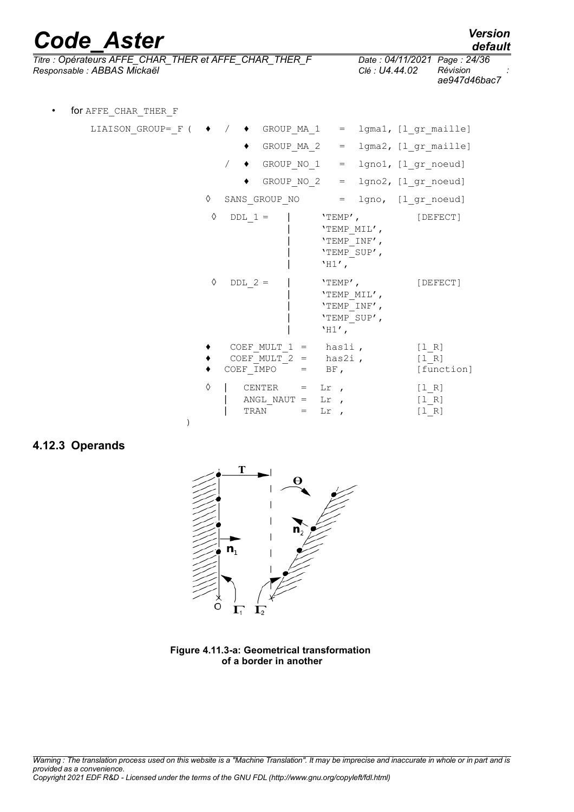*Code\_Aster Version Titre : Opérateurs AFFE\_CHAR\_THER et AFFE\_CHAR\_THER\_F Date : 04/11/2021 Page : 24/36 Responsable : ABBAS Mickaël Clé : U4.44.02 Révision :*

)

| $D_{max}$ , $0A/2C$ |         |  |  |
|---------------------|---------|--|--|
|                     | default |  |  |
|                     |         |  |  |

*ae947d46bac7*

| $\bullet$ | for AFFE CHAR THER F                                                                 |   |                                                                                                |                                                                                    |                                                           |
|-----------|--------------------------------------------------------------------------------------|---|------------------------------------------------------------------------------------------------|------------------------------------------------------------------------------------|-----------------------------------------------------------|
|           | LIAISON GROUP= $F$ ( $\rightarrow$ / $\rightarrow$ GROUP MA 1 = lgma1, [1 gr maille] |   |                                                                                                |                                                                                    |                                                           |
|           |                                                                                      |   | GROUP_MA_2                                                                                     |                                                                                    | $=$ lgma2, $[1 gr_maille]$                                |
|           |                                                                                      |   | $/ \bullet$ GROUP_NO_1                                                                         |                                                                                    | $=$ $1$ gno1, $[1$ <sup>or</sup> noeud]                   |
|           |                                                                                      |   |                                                                                                | GROUP NO $2 = 1$ gno $2$ , $[1_gr_n]$ noeud]                                       |                                                           |
|           |                                                                                      | ♦ | SANS GROUP_NO = $l_gr_n$ [1_gr_noeud]                                                          |                                                                                    |                                                           |
|           |                                                                                      | ♦ | $DDL 1 =$                                                                                      | $'TEMP'$ , $[DEFECT]$<br>'TEMP MIL',<br>'TEMP INF',<br>'TEMP SUP',<br>$'$ H1 $'$ , |                                                           |
|           |                                                                                      | ♦ | $DDL$ 2 =                                                                                      | $'TEMP'$ ,<br>'TEMP MIL',<br>'TEMP INF',<br>'TEMP SUP',<br>$'HI'$ ,                | [DEFECT]                                                  |
|           |                                                                                      |   | COEF MULT $1 =$ has $1i$ ,<br>COEF MULT $2 = \text{has} 2i$ ,<br>COEF IMPO $=$ BF,             |                                                                                    | [1 R]<br>$[1 R]$<br>[function]                            |
|           |                                                                                      | ♦ | CENTER $=$ Lr,<br>ANGL NAUT = $Lr$ ,<br>$\begin{array}{ccc}\n\text{TRAN} & = & \\ \end{array}$ | $\operatorname{Lr}$ ,                                                              | $[1 R]$<br>[1 R]<br>$\begin{bmatrix} 1 & R \end{bmatrix}$ |

#### <span id="page-23-0"></span>**4.12.3 Operands**



**Figure 4.11.3-a: Geometrical transformation of a border in another**

*Warning : The translation process used on this website is a "Machine Translation". It may be imprecise and inaccurate in whole or in part and is provided as a convenience. Copyright 2021 EDF R&D - Licensed under the terms of the GNU FDL (http://www.gnu.org/copyleft/fdl.html)*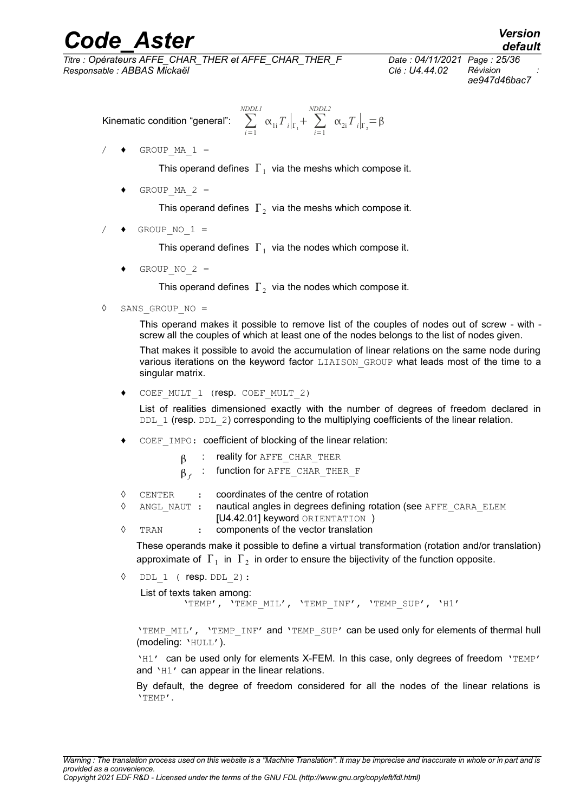*Titre : Opérateurs AFFE\_CHAR\_THER et AFFE\_CHAR\_THER\_F Date : 04/11/2021 Page : 25/36 Responsable : ABBAS Mickaël Clé : U4.44.02 Révision :*

*ae947d46bac7*

*default*

$$
\text{Kinematic condition "general":} \quad \sum_{i=1}^{NDDL1} \alpha_{1i} T \big|_{\Gamma_1} + \sum_{i=1}^{NDDL2} \alpha_{2i} T \big|_{\Gamma_2} = \beta
$$

 $/$   $\leftrightarrow$  GROUP MA 1 =

This operand defines  $|\Gamma_1|$  via the meshs which compose it.

GROUP MA  $2 =$ 

This operand defines  $|\Gamma_2|$  via the meshs which compose it.

 $\triangleleft$  GROUP NO 1 =

This operand defines  $|\Gamma_1|$  via the nodes which compose it.

GROUP NO  $2 =$ 

This operand defines  $|\Gamma_2|$  via the nodes which compose it.

◊ SANS\_GROUP\_NO =

This operand makes it possible to remove list of the couples of nodes out of screw - with screw all the couples of which at least one of the nodes belongs to the list of nodes given.

That makes it possible to avoid the accumulation of linear relations on the same node during various iterations on the keyword factor LIAISON GROUP what leads most of the time to a singular matrix.

COEF\_MULT\_1 (resp. COEF MULT 2)

List of realities dimensioned exactly with the number of degrees of freedom declared in DDL 1 (resp. DDL 2) corresponding to the multiplying coefficients of the linear relation.

- COEF IMPO: coefficient of blocking of the linear relation:
	- : reality for AFFE\_CHAR\_THER
	- $\beta_{\scriptsize f}$   $\,$   $\,$   $\,$   $\,$  function for <code>AFFE\_CHAR\_THER\_F</code>
- ◊ CENTER : coordinates of the centre of rotation
- $\Diamond$  ANGL NAUT : nautical angles in degrees defining rotation (see AFFE CARA ELEM [U4.42.01] keyword ORIENTATION )
- ◊ TRAN : components of the vector translation

These operands make it possible to define a virtual transformation (rotation and/or translation) approximate of  $|\Gamma_1|$  in  $|\Gamma_2|$  in order to ensure the bijectivity of the function opposite.

 $DDL$  1 (  $resp. DDL$  2):

List of texts taken among: 'TEMP', 'TEMP\_MIL', 'TEMP\_INF', 'TEMP\_SUP', 'H1'

'TEMP\_MIL', 'TEMP\_INF' and 'TEMP\_SUP' can be used only for elements of thermal hull (modeling: 'HULL').

'H1' can be used only for elements X-FEM. In this case, only degrees of freedom 'TEMP' and 'H1' can appear in the linear relations.

By default, the degree of freedom considered for all the nodes of the linear relations is 'TEMP'.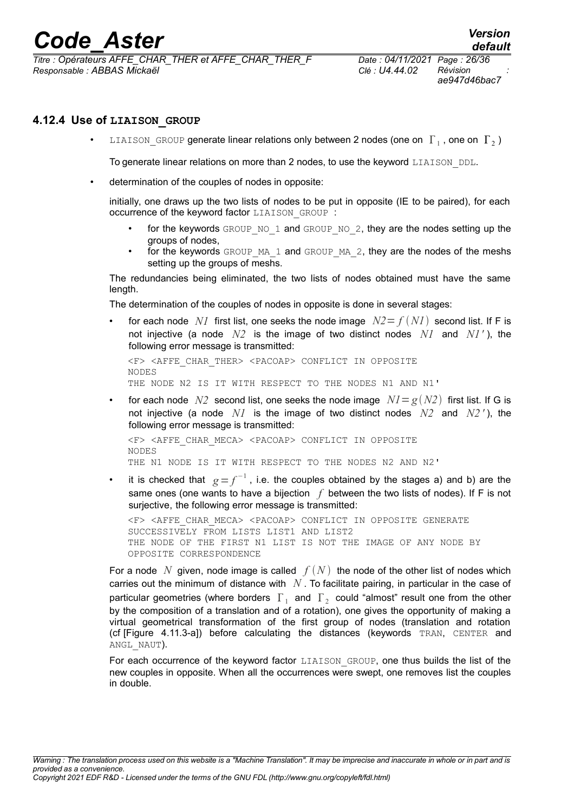*Titre : Opérateurs AFFE\_CHAR\_THER et AFFE\_CHAR\_THER\_F Date : 04/11/2021 Page : 26/36 Responsable : ABBAS Mickaël Clé : U4.44.02 Révision :*

*ae947d46bac7*

#### **4.12.4 Use of LIAISON\_GROUP**

<span id="page-25-0"></span>•  $\;$  <code>LIAISON\_GROUP</code> generate linear relations only between 2 nodes (one on  $\,\Gamma_{\,1}$  , one on  $\,\Gamma_{\,2}$  )

To generate linear relations on more than 2 nodes, to use the keyword LIAISON DDL.

determination of the couples of nodes in opposite:

initially, one draws up the two lists of nodes to be put in opposite (IE to be paired), for each occurrence of the keyword factor LIAISON\_GROUP :

- for the keywords GROUP\_NO\_1 and GROUP\_NO\_2, they are the nodes setting up the groups of nodes,
- for the keywords  $GROUP$  MA 1 and  $GROUP$  MA 2, they are the nodes of the meshs setting up the groups of meshs.

The redundancies being eliminated, the two lists of nodes obtained must have the same length.

The determination of the couples of nodes in opposite is done in several stages:

for each node *N1* first list, one seeks the node image  $N2 = f(NI)$  second list. If F is not injective (a node *N2* is the image of two distinct nodes *N1* and *N1'* ), the following error message is transmitted:

<F> <AFFE\_CHAR\_THER> <PACOAP> CONFLICT IN OPPOSITE NODES THE NODE N2 IS IT WITH RESPECT TO THE NODES N1 AND N1'

for each node *N2* second list, one seeks the node image  $NI = g(N2)$  first list. If G is not injective (a node *N1* is the image of two distinct nodes *N2* and *N2 '* ), the following error message is transmitted:

<F> <AFFE\_CHAR\_MECA> <PACOAP> CONFLICT IN OPPOSITE NODES THE N1 NODE IS IT WITH RESPECT TO THE NODES N2 AND N2'

• it is checked that  $g = f^{-1}$ , i.e. the couples obtained by the stages a) and b) are the same ones (one wants to have a bijection *f* between the two lists of nodes). If F is not surjective, the following error message is transmitted:

<F> <AFFE\_CHAR\_MECA> <PACOAP> CONFLICT IN OPPOSITE GENERATE SUCCESSIVELY FROM LISTS LIST1 AND LIST2 THE NODE OF THE FIRST N1 LIST IS NOT THE IMAGE OF ANY NODE BY OPPOSITE CORRESPONDENCE

For a node N given, node image is called  $f(N)$  the node of the other list of nodes which carries out the minimum of distance with *N* . To facilitate pairing, in particular in the case of particular geometries (where borders  $|\Gamma_1|$  and  $|\Gamma_2|$  could "almost" result one from the other by the composition of a translation and of a rotation), one gives the opportunity of making a virtual geometrical transformation of the first group of nodes (translation and rotation (cf [Figure 4.11.3-a]) before calculating the distances (keywords TRAN, CENTER and ANGL NAUT).

For each occurrence of the keyword factor LIAISON GROUP, one thus builds the list of the new couples in opposite. When all the occurrences were swept, one removes list the couples in double.

*Warning : The translation process used on this website is a "Machine Translation". It may be imprecise and inaccurate in whole or in part and is provided as a convenience. Copyright 2021 EDF R&D - Licensed under the terms of the GNU FDL (http://www.gnu.org/copyleft/fdl.html)*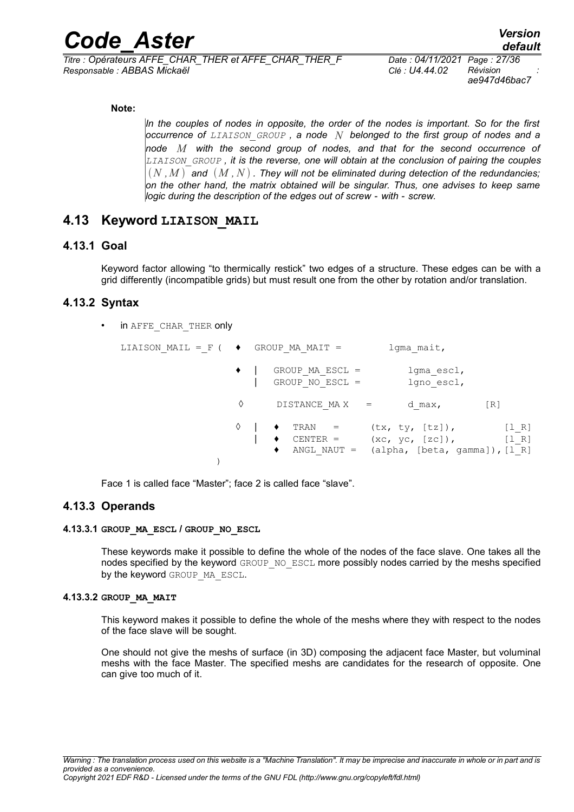*Titre : Opérateurs AFFE\_CHAR\_THER et AFFE\_CHAR\_THER\_F Date : 04/11/2021 Page : 27/36 Responsable : ABBAS Mickaël Clé : U4.44.02 Révision :*

*ae947d46bac7*

#### **Note:**

*In the couples of nodes in opposite, the order of the nodes is important. So for the first occurrence of LIAISON\_GROUP , a node N belonged to the first group of nodes and a node M with the second group of nodes, and that for the second occurrence of LIAISON\_GROUP , it is the reverse, one will obtain at the conclusion of pairing the couples*  $(N, M)$  and  $(M, N)$ . They will not be eliminated during detection of the redundancies; *on the other hand, the matrix obtained will be singular. Thus, one advises to keep same logic during the description of the edges out of screw - with - screw.*

### <span id="page-26-5"></span>**4.13 Keyword LIAISON\_MAIL**

#### **4.13.1 Goal**

<span id="page-26-4"></span>Keyword factor allowing "to thermically restick" two edges of a structure. These edges can be with a grid differently (incompatible grids) but must result one from the other by rotation and/or translation.

#### **4.13.2 Syntax**

<span id="page-26-3"></span>in AFFE\_CHAR\_THER only

| LIAISON MAIL = F ( $\rightarrow$ GROUP MA MAIT = |                                      | lgma mait,                                                                        |                  |
|--------------------------------------------------|--------------------------------------|-----------------------------------------------------------------------------------|------------------|
|                                                  | GROUP MA ESCL =<br>GROUP NO ESCL $=$ | lgma escl,<br>lgno escl,                                                          |                  |
|                                                  | DISTANCE MAX =                       | d max,                                                                            | [R]              |
|                                                  | TRAN =<br>$CENTER$ =<br>٠            | (tx, ty, [tz]),<br>(xc, yc, [zc]),<br>ANGL NAUT = $(alpha, [beta, gamma]), [l R]$ | [1 R]<br>$[1 R]$ |

<span id="page-26-2"></span>Face 1 is called face "Master"; face 2 is called face "slave".

#### **4.13.3 Operands**

#### **4.13.3.1 GROUP\_MA\_ESCL / GROUP\_NO\_ESCL**

<span id="page-26-1"></span>These keywords make it possible to define the whole of the nodes of the face slave. One takes all the nodes specified by the keyword GROUP\_NO\_ESCL more possibly nodes carried by the meshs specified by the keyword GROUP MA ESCL.

#### **4.13.3.2 GROUP\_MA\_MAIT**

<span id="page-26-0"></span>This keyword makes it possible to define the whole of the meshs where they with respect to the nodes of the face slave will be sought.

One should not give the meshs of surface (in 3D) composing the adjacent face Master, but voluminal meshs with the face Master. The specified meshs are candidates for the research of opposite. One can give too much of it.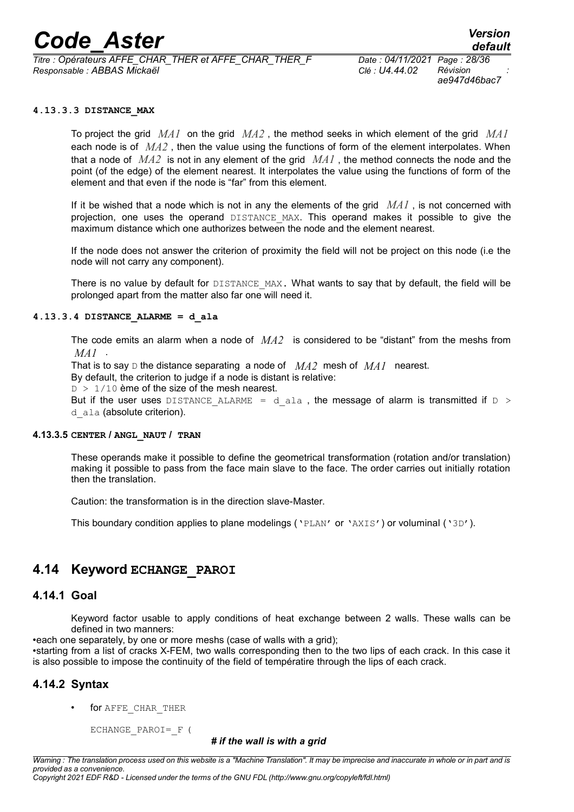*Titre : Opérateurs AFFE\_CHAR\_THER et AFFE\_CHAR\_THER\_F Date : 04/11/2021 Page : 28/36 Responsable : ABBAS Mickaël Clé : U4.44.02 Révision :*

*ae947d46bac7*

#### **4.13.3.3 DISTANCE\_MAX**

<span id="page-27-5"></span>To project the grid *MA1* on the grid *MA2* , the method seeks in which element of the grid *MA1* each node is of *MA2* , then the value using the functions of form of the element interpolates. When that a node of *MA2* is not in any element of the grid *MA1* , the method connects the node and the point (of the edge) of the element nearest. It interpolates the value using the functions of form of the element and that even if the node is "far" from this element.

If it be wished that a node which is not in any the elements of the grid *MA1* , is not concerned with projection, one uses the operand DISTANCE\_MAX. This operand makes it possible to give the maximum distance which one authorizes between the node and the element nearest.

If the node does not answer the criterion of proximity the field will not be project on this node (i.e the node will not carry any component).

There is no value by default for DISTANCE\_MAX. What wants to say that by default, the field will be prolonged apart from the matter also far one will need it.

#### **4.13.3.4 DISTANCE\_ALARME = d\_ala**

<span id="page-27-4"></span>The code emits an alarm when a node of *MA2* is considered to be "distant" from the meshs from *MA1* .

That is to say D the distance separating a node of *MA2* mesh of *MA1* nearest.

By default, the criterion to judge if a node is distant is relative:

 $D > 1/10$  ème of the size of the mesh nearest.

But if the user uses DISTANCE ALARME = d ala, the message of alarm is transmitted if  $D >$ d ala (absolute criterion).

#### **4.13.3.5 CENTER / ANGL\_NAUT / TRAN**

<span id="page-27-3"></span>These operands make it possible to define the geometrical transformation (rotation and/or translation) making it possible to pass from the face main slave to the face. The order carries out initially rotation then the translation.

Caution: the transformation is in the direction slave-Master.

This boundary condition applies to plane modelings ( $'PLAN'$  or  $'AKIS'$ ) or voluminal ( $'3D'$ ).

#### <span id="page-27-2"></span>**4.14 Keyword ECHANGE\_PAROI**

#### **4.14.1 Goal**

<span id="page-27-1"></span>Keyword factor usable to apply conditions of heat exchange between 2 walls. These walls can be defined in two manners:

•each one separately, by one or more meshs (case of walls with a grid);

•starting from a list of cracks X-FEM, two walls corresponding then to the two lips of each crack. In this case it is also possible to impose the continuity of the field of températire through the lips of each crack.

#### **4.14.2 Syntax**

<span id="page-27-0"></span>for AFFE\_CHAR\_THER

ECHANGE PAROI= F (

#### *# if the wall is with a grid*

*Warning : The translation process used on this website is a "Machine Translation". It may be imprecise and inaccurate in whole or in part and is provided as a convenience. Copyright 2021 EDF R&D - Licensed under the terms of the GNU FDL (http://www.gnu.org/copyleft/fdl.html)*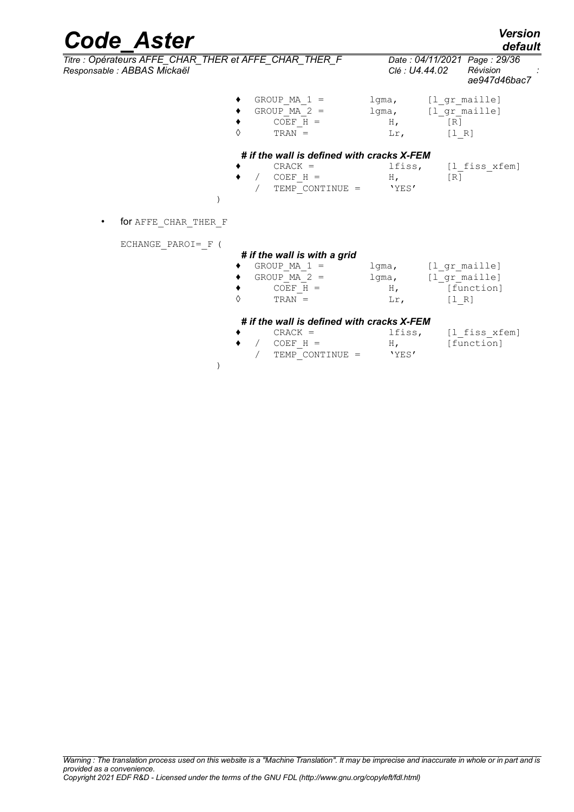| <b>Code Aster</b><br>Titre : Opérateurs AFFE_CHAR_THER et AFFE_CHAR_THER_F<br>Responsable : ABBAS Mickaël |            |                                                                                              | Clé : U4.44.02                                         | default<br>Date: 04/11/2021 Page: 29/36<br>Révision<br>ae947d46bac7      |
|-----------------------------------------------------------------------------------------------------------|------------|----------------------------------------------------------------------------------------------|--------------------------------------------------------|--------------------------------------------------------------------------|
|                                                                                                           | $\Diamond$ | GROUP MA $1 =$<br>GROUP MA $2 =$<br>$COEF$ H =<br>$TRAN =$                                   | $H_{\ell}$<br>Lr,                                      | lgma, [l gr maille]<br>lgma, [1 gr maille]<br>$\lceil R \rceil$<br>[1 R] |
|                                                                                                           |            | # if the wall is defined with cracks X-FEM<br>$CRACT =COEF H =TEMP CONTINUE =$               | lfiss,<br>$H_{\ell}$<br>'YES'                          | [l fiss xfem]<br>[R]                                                     |
| for AFFE CHAR THER F<br>$\bullet$                                                                         |            |                                                                                              |                                                        |                                                                          |
| ECHANGE PAROI= F (                                                                                        | $\Diamond$ | # if the wall is with a grid<br>GROUP MA $1 =$<br>GROUP MA $2 =$<br>$COEF$ $H =$<br>$TRAN =$ | $H_{\ell}$<br>$\operatorname{Lr}_{\boldsymbol{\cdot}}$ | lgma, [l gr maille]<br>lgma, [1 gr maille]<br>[function]<br>[1 R]        |

 $/$  TEMP CONTINUE =

)

◆ CRACK = lfiss,  $[1_f \text{fiss\_xfem}]$ <br>◆ / COEF H = H,  $[\text{function}]$  $\begin{array}{ccc} \bullet & / & \text{COEF\_H} = & H, & \text{[function]} \\ & / & \text{TEMP\_CONTINUE} = & \text{YES'} \end{array}$ 

#### *Warning : The translation process used on this website is a "Machine Translation". It may be imprecise and inaccurate in whole or in part and is provided as a convenience.*

*Copyright 2021 EDF R&D - Licensed under the terms of the GNU FDL (http://www.gnu.org/copyleft/fdl.html)*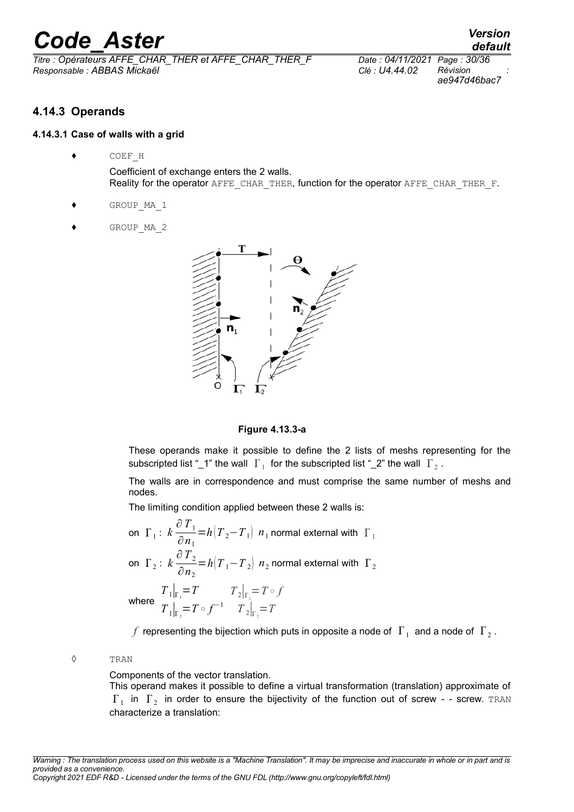*Titre : Opérateurs AFFE\_CHAR\_THER et AFFE\_CHAR\_THER\_F Date : 04/11/2021 Page : 30/36 Responsable : ABBAS Mickaël Clé : U4.44.02 Révision :*

*ae947d46bac7*

*default*

### <span id="page-29-1"></span>**4.14.3 Operands**

#### **4.14.3.1 Case of walls with a grid**

<span id="page-29-0"></span>♦ COEF\_H

Coefficient of exchange enters the 2 walls. Reality for the operator AFFE\_CHAR\_THER, function for the operator AFFE\_CHAR\_THER\_F.

- GROUP MA 1
- GROUP MA 2





These operands make it possible to define the 2 lists of meshs representing for the subscripted list "\_1" the wall  $\|\Gamma_1\|$  for the subscripted list "\_2" the wall  $\|\Gamma_2\|$ .

The walls are in correspondence and must comprise the same number of meshs and nodes.

The limiting condition applied between these 2 walls is:

on 
$$
\Gamma_1
$$
:  $k \frac{\partial T_1}{\partial n_1} = h(T_2 - T_1)$   $n_1$  normal external with  $\Gamma_1$   
\non  $\Gamma_2$ :  $k \frac{\partial T_2}{\partial n_2} = h(T_1 - T_2)$   $n_2$  normal external with  $\Gamma_2$   
\n $T_1|_{\Gamma_1} = T$   $T_2|_{\Gamma_1} = T \circ f$   
\nwhere  $T_1|_{\Gamma_2} = T \circ f^{-1}$   $T_2|_{\Gamma_2} = T$ 

 $f$  representing the bijection which puts in opposite a node of  $|\Gamma_1|$  and a node of  $|\Gamma_2|$ .

#### ◊ TRAN

Components of the vector translation.

This operand makes it possible to define a virtual transformation (translation) approximate of  $\Gamma_1$  in  $\Gamma_2$  in order to ensure the bijectivity of the function out of screw - - screw. TRAN characterize a translation:

*Warning : The translation process used on this website is a "Machine Translation". It may be imprecise and inaccurate in whole or in part and is provided as a convenience.*

*Copyright 2021 EDF R&D - Licensed under the terms of the GNU FDL (http://www.gnu.org/copyleft/fdl.html)*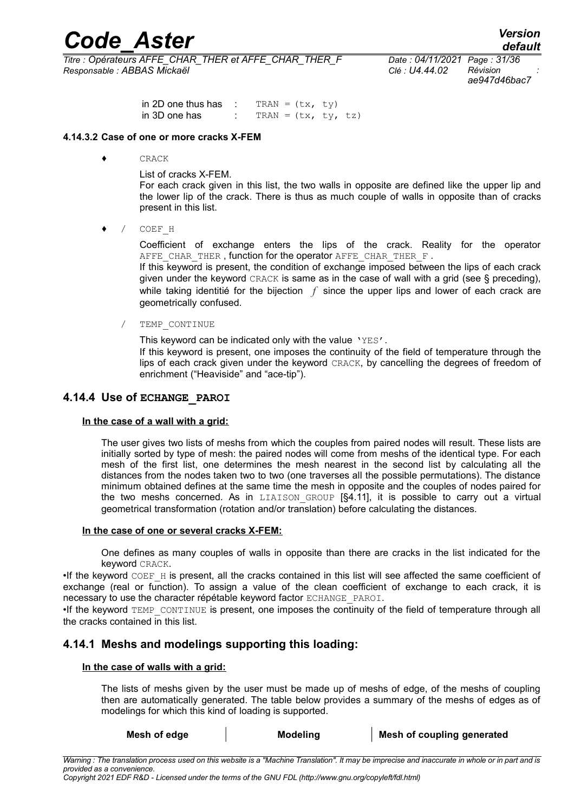*Titre : Opérateurs AFFE\_CHAR\_THER et AFFE\_CHAR\_THER\_F Date : 04/11/2021 Page : 31/36 Responsable : ABBAS Mickaël Clé : U4.44.02 Révision :*

*ae947d46bac7*

*default*

in 2D one thus has : TRAN =  $(tx, ty)$ in 3D one has : TRAN =  $(tx, ty, tz)$ 

#### **4.14.3.2 Case of one or more cracks X-FEM**

<span id="page-30-2"></span>♦ CRACK

List of cracks X-FEM.

For each crack given in this list, the two walls in opposite are defined like the upper lip and the lower lip of the crack. There is thus as much couple of walls in opposite than of cracks present in this list.

♦ / COEF\_H

Coefficient of exchange enters the lips of the crack. Reality for the operator AFFE CHAR THER, function for the operator AFFE CHAR THER F.

If this keyword is present, the condition of exchange imposed between the lips of each crack given under the keyword CRACK is same as in the case of wall with a grid (see § preceding), while taking identitié for the bijection f since the upper lips and lower of each crack are geometrically confused.

TEMP CONTINUE

This keyword can be indicated only with the value 'YES'.

If this keyword is present, one imposes the continuity of the field of temperature through the lips of each crack given under the keyword CRACK, by cancelling the degrees of freedom of enrichment ("Heaviside" and "ace-tip").

#### **4.14.4 Use of ECHANGE\_PAROI**

#### <span id="page-30-1"></span>**In the case of a wall with a grid:**

The user gives two lists of meshs from which the couples from paired nodes will result. These lists are initially sorted by type of mesh: the paired nodes will come from meshs of the identical type. For each mesh of the first list, one determines the mesh nearest in the second list by calculating all the distances from the nodes taken two to two (one traverses all the possible permutations). The distance minimum obtained defines at the same time the mesh in opposite and the couples of nodes paired for the two meshs concerned. As in LIAISON GROUP [§4.11], it is possible to carry out a virtual geometrical transformation (rotation and/or translation) before calculating the distances.

#### **In the case of one or several cracks X-FEM:**

One defines as many couples of walls in opposite than there are cracks in the list indicated for the keyword CRACK.

 $\bullet$ If the keyword  $CDEF$  H is present, all the cracks contained in this list will see affected the same coefficient of exchange (real or function). To assign a value of the clean coefficient of exchange to each crack, it is necessary to use the character répétable keyword factor ECHANGE\_PAROI.

•If the keyword TEMP\_CONTINUE is present, one imposes the continuity of the field of temperature through all the cracks contained in this list.

#### **4.14.1 Meshs and modelings supporting this loading:**

#### <span id="page-30-0"></span>**In the case of walls with a grid:**

The lists of meshs given by the user must be made up of meshs of edge, of the meshs of coupling then are automatically generated. The table below provides a summary of the meshs of edges as of modelings for which this kind of loading is supported.

| Mesh of edge | <b>Modeling</b> | Mesh of coupling generated |
|--------------|-----------------|----------------------------|
|--------------|-----------------|----------------------------|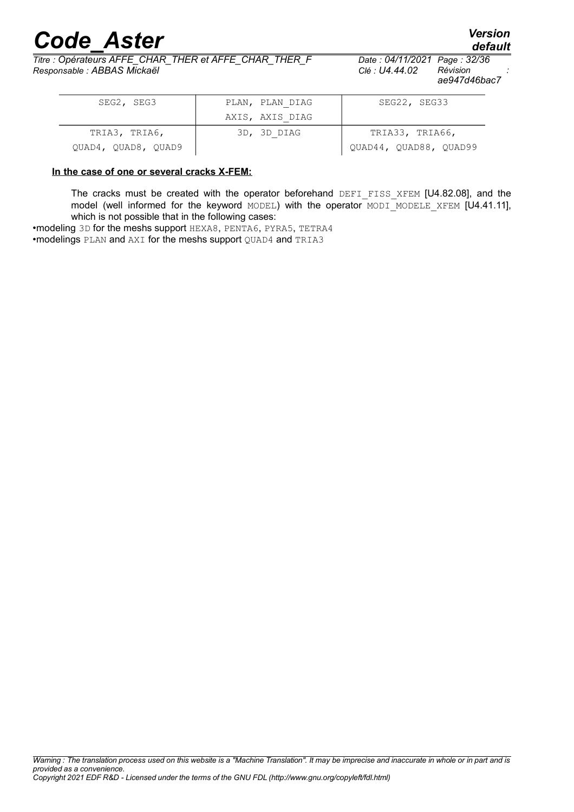*Titre : Opérateurs AFFE\_CHAR\_THER et AFFE\_CHAR\_THER\_F Date : 04/11/2021 Page : 32/36 Responsable : ABBAS Mickaël Clé : U4.44.02 Révision :*

*ae947d46bac7*

| SEG2, SEG3          | PLAN, PLAN DIAG | SEG22, SEG33           |
|---------------------|-----------------|------------------------|
|                     | AXIS, AXIS DIAG |                        |
| TRIA3, TRIA6,       | 3D, 3D DIAG     | TRIA33, TRIA66,        |
| QUAD4, QUAD8, QUAD9 |                 | QUAD44, QUAD88, QUAD99 |

#### **In the case of one or several cracks X-FEM:**

The cracks must be created with the operator beforehand DEFI FISS XFEM [U4.82.08], and the model (well informed for the keyword MODEL) with the operator MODI MODELE XFEM  $[U4.41.11]$ , which is not possible that in the following cases:

•modeling 3D for the meshs support HEXA8, PENTA6, PYRA5, TETRA4 •modelings PLAN and AXI for the meshs support QUAD4 and TRIA3

*default*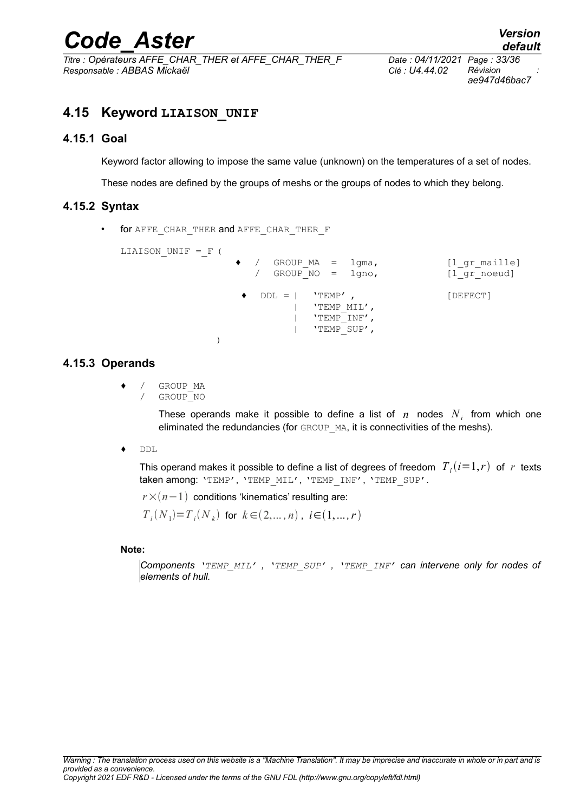*Titre : Opérateurs AFFE\_CHAR\_THER et AFFE\_CHAR\_THER\_F Date : 04/11/2021 Page : 33/36 Responsable : ABBAS Mickaël Clé : U4.44.02 Révision :*

*ae947d46bac7*

## <span id="page-32-3"></span>**4.15 Keyword LIAISON\_UNIF**

#### **4.15.1 Goal**

<span id="page-32-2"></span>Keyword factor allowing to impose the same value (unknown) on the temperatures of a set of nodes.

<span id="page-32-1"></span>These nodes are defined by the groups of meshs or the groups of nodes to which they belong.

#### **4.15.2 Syntax**

for AFFE\_CHAR\_THER and AFFE\_CHAR\_THER\_F

```
LIAISON UNIF = F (
                  / GROUP MA = lgma, [l gr maille]
                  / GROUP_NO = lgno, [l_gr_noeud]
                  DDL = | 'TEMP', [DEFECT]| 'TEMP_MIL',
                        | 'TEMP<sup>T</sup>INF',
                        | 'TEMP_SUP',
             )
```
#### **4.15.3 Operands**

- <span id="page-32-0"></span>/ GROUP MA
	- / GROUP\_NO

These operands make it possible to define a list of  $n$  nodes  $N_i$  from which one eliminated the redundancies (for GROUP MA, it is connectivities of the meshs).

♦ DDL

This operand makes it possible to define a list of degrees of freedom  $\left\vert T_{\ i}(i{=}1,r) \right\rangle$  of  $\left\vert r \right\rangle$  texts taken among: 'TEMP', 'TEMP\_MIL', 'TEMP\_INF', 'TEMP\_SUP'.

 $r \times (n-1)$  conditions 'kinematics' resulting are:

 $T_i(N_1) = T_i(N_k)$  for  $k \in (2,...,n)$ ,  $i \in (1,...,r)$ 

#### **Note:**

*Components 'TEMP\_MIL' , 'TEMP\_SUP' , 'TEMP\_INF' can intervene only for nodes of elements of hull.*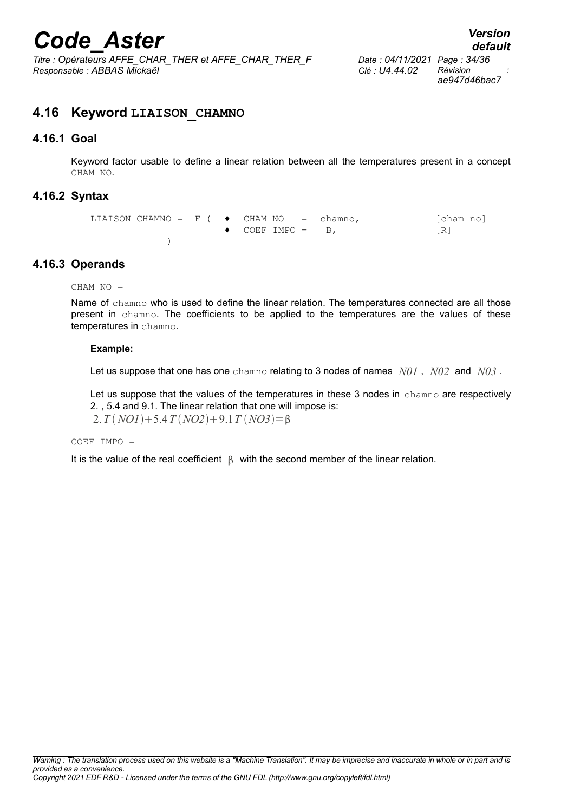*Titre : Opérateurs AFFE\_CHAR\_THER et AFFE\_CHAR\_THER\_F Date : 04/11/2021 Page : 34/36 Responsable : ABBAS Mickaël Clé : U4.44.02 Révision :*

*ae947d46bac7*

### <span id="page-33-3"></span>**4.16 Keyword LIAISON\_CHAMNO**

#### **4.16.1 Goal**

<span id="page-33-2"></span>Keyword factor usable to define a linear relation between all the temperatures present in a concept CHAM\_NO.

#### **4.16.2 Syntax**

<span id="page-33-1"></span>LIAISON CHAMNO =  $F$  (  $\blacklozenge$  CHAM\_NO = chamno, [cham\_no]  $\bullet$  COEF IMPO = B, [R]  $\lambda$ 

#### **4.16.3 Operands**

<span id="page-33-0"></span> $CHAM NO =$ 

Name of chamno who is used to define the linear relation. The temperatures connected are all those present in chamno. The coefficients to be applied to the temperatures are the values of these temperatures in chamno.

#### **Example:**

Let us suppose that one has one chamno relating to 3 nodes of names *N01* , *N02* and *N03* .

Let us suppose that the values of the temperatures in these 3 nodes in chamno are respectively 2. , 5.4 and 9.1. The linear relation that one will impose is:  $2. T(NOI) + 5.4 T(NO2) + 9.1 T(NO3) = 8$ 

#### $COEF$  IMPO =

It is the value of the real coefficient  $\beta$  with the second member of the linear relation.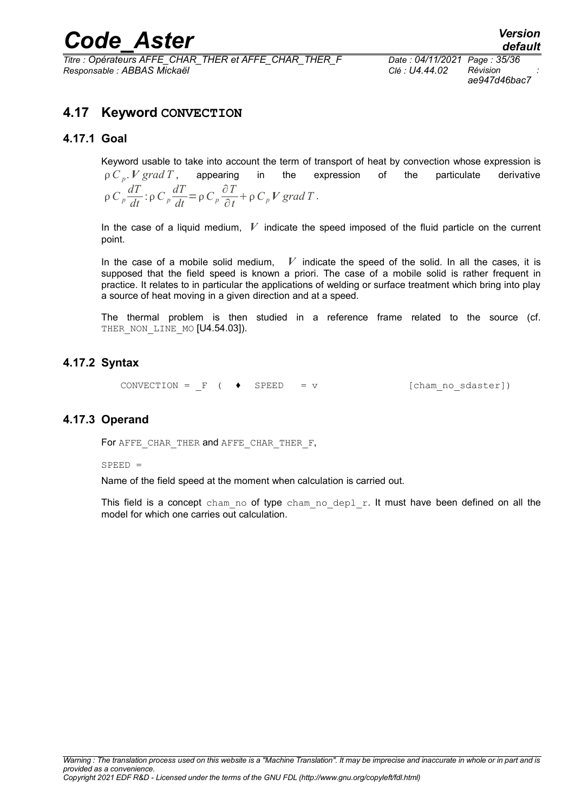*Titre : Opérateurs AFFE\_CHAR\_THER et AFFE\_CHAR\_THER\_F Date : 04/11/2021 Page : 35/36 Responsable : ABBAS Mickaël Clé : U4.44.02 Révision :*

*ae947d46bac7*

## <span id="page-34-3"></span>**4.17 Keyword CONVECTION**

#### **4.17.1 Goal**

<span id="page-34-2"></span>Keyword usable to take into account the term of transport of heat by convection whose expression is  $\rho$  *C<sub>p</sub>*. *V grad T*, appearing in the expression of the particulate derivative  $\int \rho \frac{dT}{dt}$ : $\rho C_p \frac{dT}{dt} = \rho C_p \frac{\partial T}{\partial t}$  $\frac{\partial I}{\partial t}$  +  $\rho C_p V$  *grad T* .

In the case of a liquid medium, *V* indicate the speed imposed of the fluid particle on the current point.

In the case of a mobile solid medium,  $V$  indicate the speed of the solid. In all the cases, it is supposed that the field speed is known a priori. The case of a mobile solid is rather frequent in practice. It relates to in particular the applications of welding or surface treatment which bring into play a source of heat moving in a given direction and at a speed.

The thermal problem is then studied in a reference frame related to the source (cf. THER NON LINE MO [U4.54.03]).

#### **4.17.2 Syntax**

<span id="page-34-1"></span>CONVECTION =  $F$  (  $\bullet$  SPEED = v [cham no sdaster])

#### **4.17.3 Operand**

<span id="page-34-0"></span>For AFFE CHAR THER and AFFE CHAR THER F,

 $SPEED =$ 

Name of the field speed at the moment when calculation is carried out.

This field is a concept cham no of type cham no depl  $r$ . It must have been defined on all the model for which one carries out calculation.